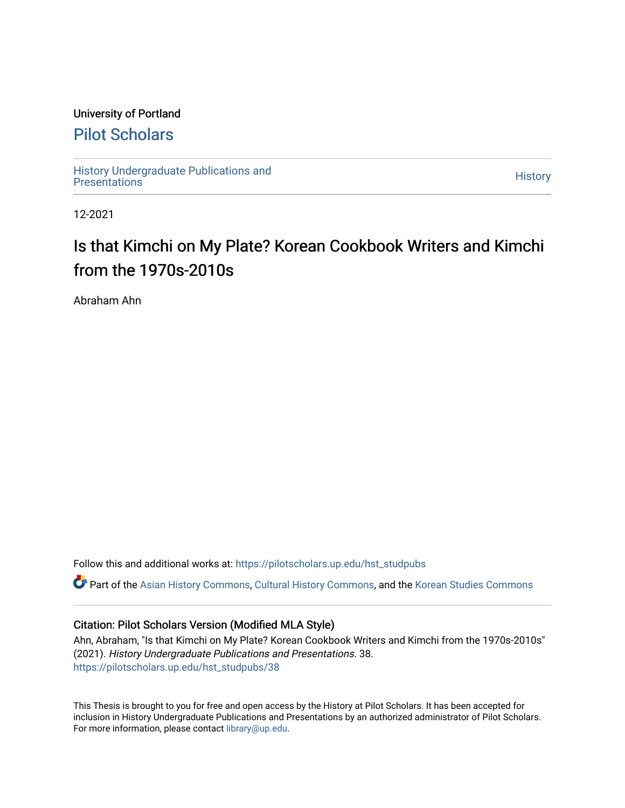### University of Portland

# [Pilot Scholars](https://pilotscholars.up.edu/)

[History Undergraduate Publications and](https://pilotscholars.up.edu/hst_studpubs) Thistory Undergraduate Publications and<br>[Presentations](https://pilotscholars.up.edu/hst_studpubs) History

12-2021

# Is that Kimchi on My Plate? Korean Cookbook Writers and Kimchi from the 1970s-2010s

Abraham Ahn

Follow this and additional works at: [https://pilotscholars.up.edu/hst\\_studpubs](https://pilotscholars.up.edu/hst_studpubs?utm_source=pilotscholars.up.edu%2Fhst_studpubs%2F38&utm_medium=PDF&utm_campaign=PDFCoverPages) 

Part of the [Asian History Commons](https://network.bepress.com/hgg/discipline/491?utm_source=pilotscholars.up.edu%2Fhst_studpubs%2F38&utm_medium=PDF&utm_campaign=PDFCoverPages), [Cultural History Commons,](https://network.bepress.com/hgg/discipline/496?utm_source=pilotscholars.up.edu%2Fhst_studpubs%2F38&utm_medium=PDF&utm_campaign=PDFCoverPages) and the [Korean Studies Commons](https://network.bepress.com/hgg/discipline/1288?utm_source=pilotscholars.up.edu%2Fhst_studpubs%2F38&utm_medium=PDF&utm_campaign=PDFCoverPages)

### Citation: Pilot Scholars Version (Modified MLA Style)

Ahn, Abraham, "Is that Kimchi on My Plate? Korean Cookbook Writers and Kimchi from the 1970s-2010s" (2021). History Undergraduate Publications and Presentations. 38. [https://pilotscholars.up.edu/hst\\_studpubs/38](https://pilotscholars.up.edu/hst_studpubs/38?utm_source=pilotscholars.up.edu%2Fhst_studpubs%2F38&utm_medium=PDF&utm_campaign=PDFCoverPages) 

This Thesis is brought to you for free and open access by the History at Pilot Scholars. It has been accepted for inclusion in History Undergraduate Publications and Presentations by an authorized administrator of Pilot Scholars. For more information, please contact [library@up.edu.](mailto:library@up.edu)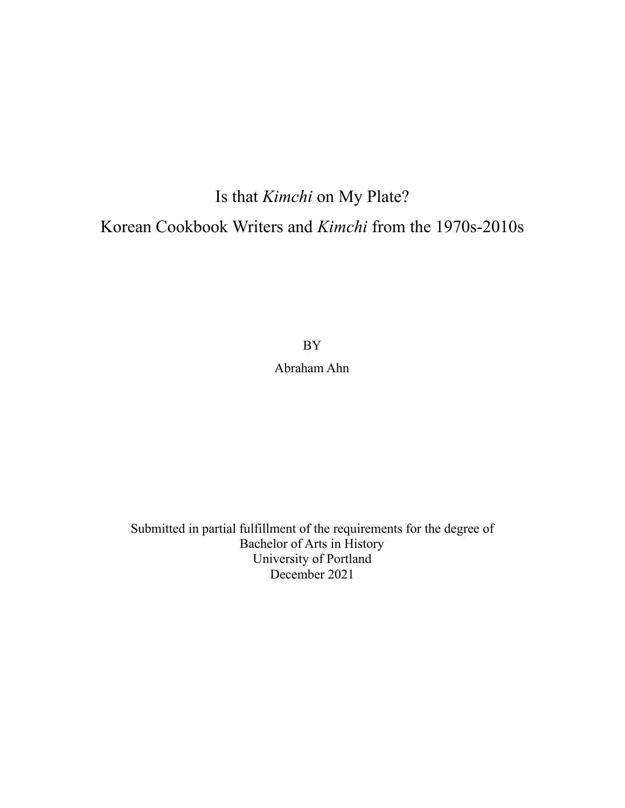# Is that *Kimchi* on My Plate? Korean Cookbook Writers and *Kimchi* from the 1970s-2010s

BY

Abraham Ahn

Submitted in partial fulfillment of the requirements for the degree of Bachelor of Arts in History University of Portland December 2021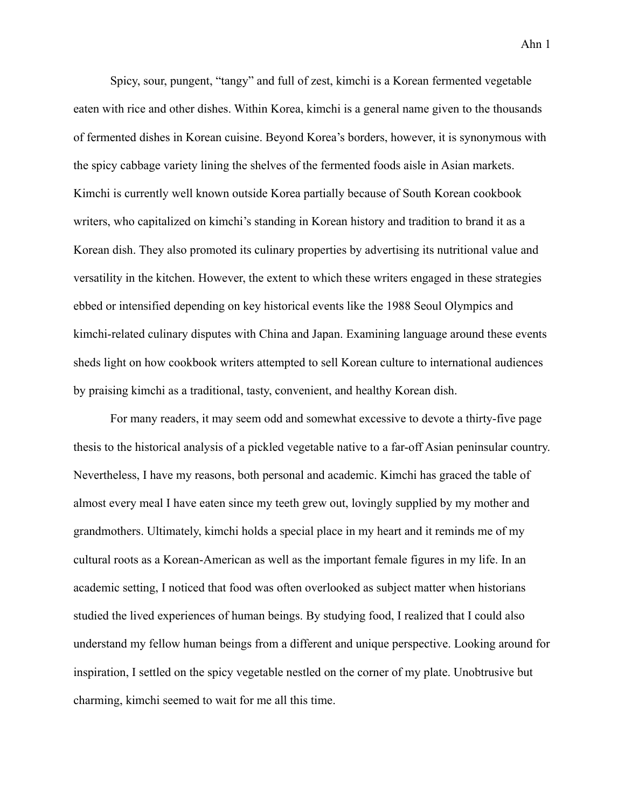Spicy, sour, pungent, "tangy" and full of zest, kimchi is a Korean fermented vegetable eaten with rice and other dishes. Within Korea, kimchi is a general name given to the thousands of fermented dishes in Korean cuisine. Beyond Korea's borders, however, it is synonymous with the spicy cabbage variety lining the shelves of the fermented foods aisle in Asian markets. Kimchi is currently well known outside Korea partially because of South Korean cookbook writers, who capitalized on kimchi's standing in Korean history and tradition to brand it as a Korean dish. They also promoted its culinary properties by advertising its nutritional value and versatility in the kitchen. However, the extent to which these writers engaged in these strategies ebbed or intensified depending on key historical events like the 1988 Seoul Olympics and kimchi-related culinary disputes with China and Japan. Examining language around these events sheds light on how cookbook writers attempted to sell Korean culture to international audiences by praising kimchi as a traditional, tasty, convenient, and healthy Korean dish.

For many readers, it may seem odd and somewhat excessive to devote a thirty-five page thesis to the historical analysis of a pickled vegetable native to a far-off Asian peninsular country. Nevertheless, I have my reasons, both personal and academic. Kimchi has graced the table of almost every meal I have eaten since my teeth grew out, lovingly supplied by my mother and grandmothers. Ultimately, kimchi holds a special place in my heart and it reminds me of my cultural roots as a Korean-American as well as the important female figures in my life. In an academic setting, I noticed that food was often overlooked as subject matter when historians studied the lived experiences of human beings. By studying food, I realized that I could also understand my fellow human beings from a different and unique perspective. Looking around for inspiration, I settled on the spicy vegetable nestled on the corner of my plate. Unobtrusive but charming, kimchi seemed to wait for me all this time.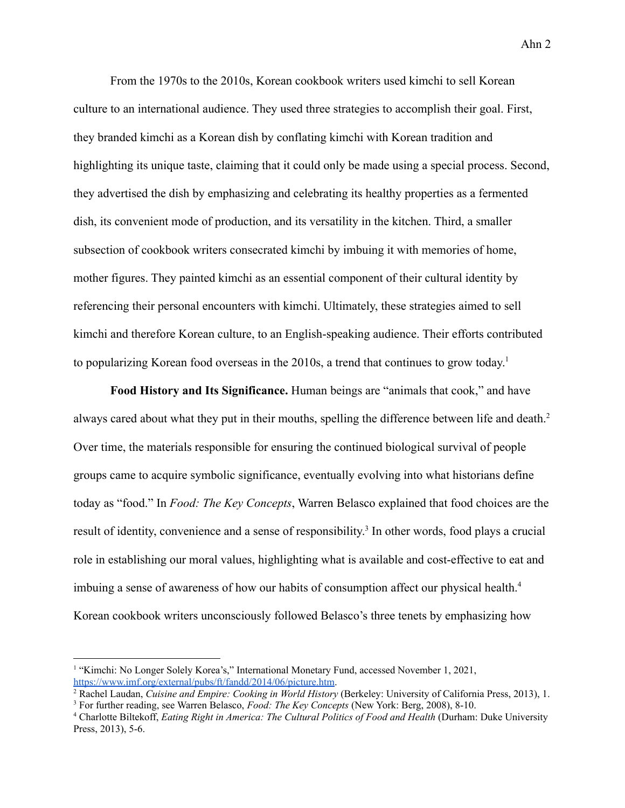From the 1970s to the 2010s, Korean cookbook writers used kimchi to sell Korean culture to an international audience. They used three strategies to accomplish their goal. First, they branded kimchi as a Korean dish by conflating kimchi with Korean tradition and highlighting its unique taste, claiming that it could only be made using a special process. Second, they advertised the dish by emphasizing and celebrating its healthy properties as a fermented dish, its convenient mode of production, and its versatility in the kitchen. Third, a smaller subsection of cookbook writers consecrated kimchi by imbuing it with memories of home, mother figures. They painted kimchi as an essential component of their cultural identity by referencing their personal encounters with kimchi. Ultimately, these strategies aimed to sell kimchi and therefore Korean culture, to an English-speaking audience. Their efforts contributed to popularizing Korean food overseas in the 2010s, a trend that continues to grow today. 1

**Food History and Its Significance.** Human beings are "animals that cook," and have always cared about what they put in their mouths, spelling the difference between life and death.<sup>2</sup> Over time, the materials responsible for ensuring the continued biological survival of people groups came to acquire symbolic significance, eventually evolving into what historians define today as "food." In *Food: The Key Concepts*, Warren Belasco explained that food choices are the result of identity, convenience and a sense of responsibility.<sup>3</sup> In other words, food plays a crucial role in establishing our moral values, highlighting what is available and cost-effective to eat and imbuing a sense of awareness of how our habits of consumption affect our physical health.<sup>4</sup> Korean cookbook writers unconsciously followed Belasco's three tenets by emphasizing how

<sup>&</sup>lt;sup>1</sup> "Kimchi: No Longer Solely Korea's," International Monetary Fund, accessed November 1, 2021, [https://www.imf.org/external/pubs/ft/fandd/2014/06/picture.htm.](https://www.imf.org/external/pubs/ft/fandd/2014/06/picture.htm)

<sup>3</sup> For further reading, see Warren Belasco, *Food: The Key Concepts* (New York: Berg, 2008), 8-10. <sup>2</sup> Rachel Laudan, *Cuisine and Empire: Cooking in World History* (Berkeley: University of California Press, 2013), 1.

<sup>4</sup> Charlotte Biltekoff, *Eating Right in America: The Cultural Politics of Food and Health* (Durham: Duke University Press, 2013), 5-6.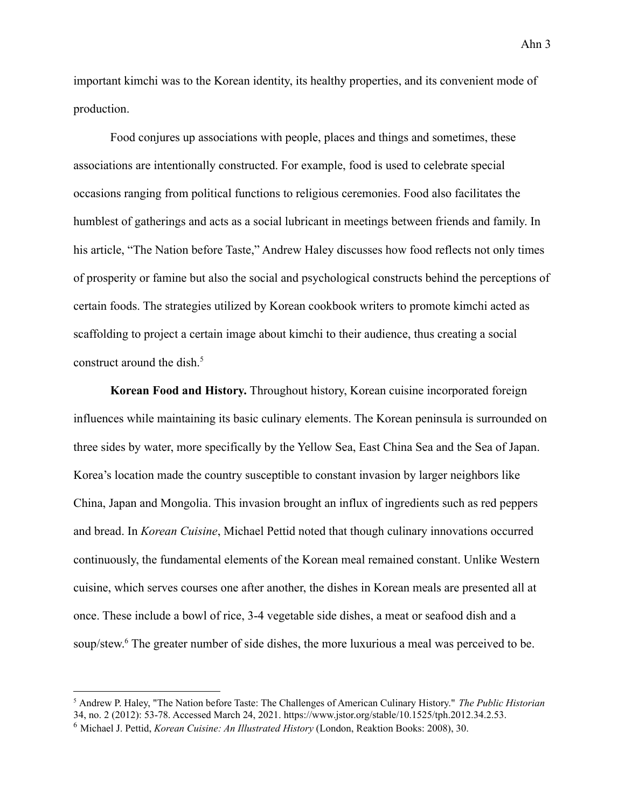important kimchi was to the Korean identity, its healthy properties, and its convenient mode of production.

Food conjures up associations with people, places and things and sometimes, these associations are intentionally constructed. For example, food is used to celebrate special occasions ranging from political functions to religious ceremonies. Food also facilitates the humblest of gatherings and acts as a social lubricant in meetings between friends and family. In his article, "The Nation before Taste," Andrew Haley discusses how food reflects not only times of prosperity or famine but also the social and psychological constructs behind the perceptions of certain foods. The strategies utilized by Korean cookbook writers to promote kimchi acted as scaffolding to project a certain image about kimchi to their audience, thus creating a social construct around the dish. $5$ 

**Korean Food and History.** Throughout history, Korean cuisine incorporated foreign influences while maintaining its basic culinary elements. The Korean peninsula is surrounded on three sides by water, more specifically by the Yellow Sea, East China Sea and the Sea of Japan. Korea's location made the country susceptible to constant invasion by larger neighbors like China, Japan and Mongolia. This invasion brought an influx of ingredients such as red peppers and bread. In *Korean Cuisine*, Michael Pettid noted that though culinary innovations occurred continuously, the fundamental elements of the Korean meal remained constant. Unlike Western cuisine, which serves courses one after another, the dishes in Korean meals are presented all at once. These include a bowl of rice, 3-4 vegetable side dishes, a meat or seafood dish and a soup/stew.<sup>6</sup> The greater number of side dishes, the more luxurious a meal was perceived to be.

<sup>5</sup> Andrew P. Haley, "The Nation before Taste: The Challenges of American Culinary History." *The Public Historian* 34, no. 2 (2012): 53-78. Accessed March 24, 2021. https://www.jstor.org/stable/10.1525/tph.2012.34.2.53.

<sup>6</sup> Michael J. Pettid, *Korean Cuisine: An Illustrated History* (London, Reaktion Books: 2008), 30.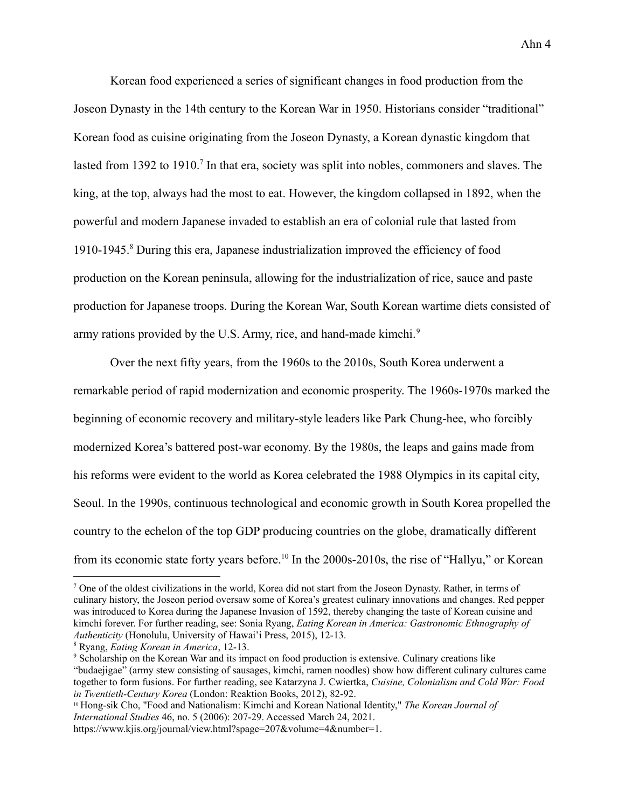Korean food experienced a series of significant changes in food production from the Joseon Dynasty in the 14th century to the Korean War in 1950. Historians consider "traditional" Korean food as cuisine originating from the Joseon Dynasty, a Korean dynastic kingdom that lasted from 1392 to 1910.<sup>7</sup> In that era, society was split into nobles, commoners and slaves. The king, at the top, always had the most to eat. However, the kingdom collapsed in 1892, when the powerful and modern Japanese invaded to establish an era of colonial rule that lasted from 1910-1945.<sup>8</sup> During this era, Japanese industrialization improved the efficiency of food production on the Korean peninsula, allowing for the industrialization of rice, sauce and paste production for Japanese troops. During the Korean War, South Korean wartime diets consisted of army rations provided by the U.S. Army, rice, and hand-made kimchi.<sup>9</sup>

Over the next fifty years, from the 1960s to the 2010s, South Korea underwent a remarkable period of rapid modernization and economic prosperity. The 1960s-1970s marked the beginning of economic recovery and military-style leaders like Park Chung-hee, who forcibly modernized Korea's battered post-war economy. By the 1980s, the leaps and gains made from his reforms were evident to the world as Korea celebrated the 1988 Olympics in its capital city, Seoul. In the 1990s, continuous technological and economic growth in South Korea propelled the country to the echelon of the top GDP producing countries on the globe, dramatically different from its economic state forty years before.<sup>10</sup> In the 2000s-2010s, the rise of "Hallyu," or Korean

<sup>7</sup> One of the oldest civilizations in the world, Korea did not start from the Joseon Dynasty. Rather, in terms of culinary history, the Joseon period oversaw some of Korea's greatest culinary innovations and changes. Red pepper was introduced to Korea during the Japanese Invasion of 1592, thereby changing the taste of Korean cuisine and kimchi forever. For further reading, see: Sonia Ryang, *Eating Korean in America: Gastronomic Ethnography of Authenticity* (Honolulu, University of Hawai'i Press, 2015), 12-13.

<sup>8</sup> Ryang, *Eating Korean in America*, 12-13.

<sup>9</sup> Scholarship on the Korean War and its impact on food production is extensive. Culinary creations like "budaejigae" (army stew consisting of sausages, kimchi, ramen noodles) show how different culinary cultures came together to form fusions. For further reading, see Katarzyna J. Cwiertka, *Cuisine, Colonialism and Cold War: Food in Twentieth-Century Korea* (London: Reaktion Books, 2012), 82-92.

<sup>10</sup> Hong-sik Cho, "Food and Nationalism: Kimchi and Korean National Identity," *The Korean Journal of International Studies* 46, no. 5 (2006): 207-29. Accessed March 24, 2021.

https://www.kjis.org/journal/view.html?spage=207&volume=4&number=1.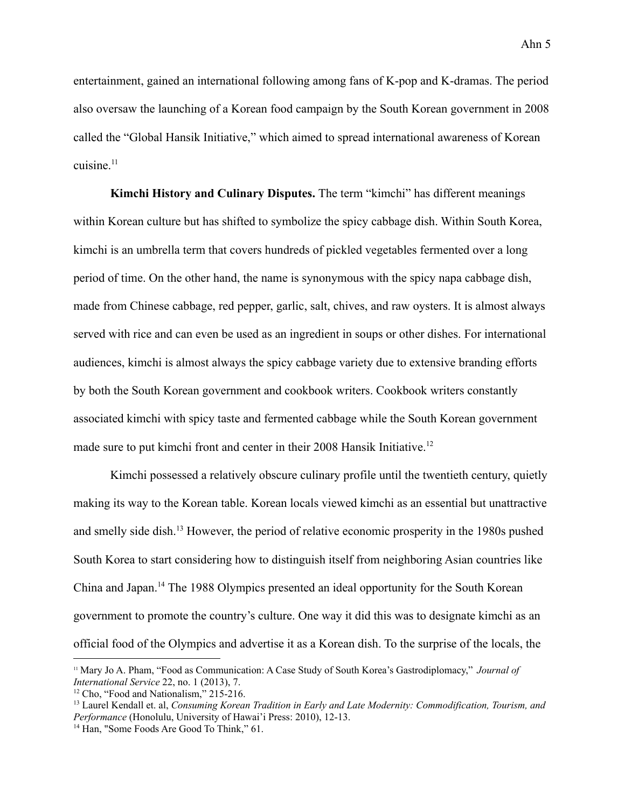entertainment, gained an international following among fans of K-pop and K-dramas. The period also oversaw the launching of a Korean food campaign by the South Korean government in 2008 called the "Global Hansik Initiative," which aimed to spread international awareness of Korean cuisine $11$ 

**Kimchi History and Culinary Disputes.** The term "kimchi" has different meanings within Korean culture but has shifted to symbolize the spicy cabbage dish. Within South Korea, kimchi is an umbrella term that covers hundreds of pickled vegetables fermented over a long period of time. On the other hand, the name is synonymous with the spicy napa cabbage dish, made from Chinese cabbage, red pepper, garlic, salt, chives, and raw oysters. It is almost always served with rice and can even be used as an ingredient in soups or other dishes. For international audiences, kimchi is almost always the spicy cabbage variety due to extensive branding efforts by both the South Korean government and cookbook writers. Cookbook writers constantly associated kimchi with spicy taste and fermented cabbage while the South Korean government made sure to put kimchi front and center in their 2008 Hansik Initiative.<sup>12</sup>

Kimchi possessed a relatively obscure culinary profile until the twentieth century, quietly making its way to the Korean table. Korean locals viewed kimchi as an essential but unattractive and smelly side dish.<sup>13</sup> However, the period of relative economic prosperity in the 1980s pushed South Korea to start considering how to distinguish itself from neighboring Asian countries like China and Japan.<sup>14</sup> The 1988 Olympics presented an ideal opportunity for the South Korean government to promote the country's culture. One way it did this was to designate kimchi as an official food of the Olympics and advertise it as a Korean dish. To the surprise of the locals, the

<sup>11</sup> Mary Jo A. Pham, "Food as Communication: A Case Study of South Korea's Gastrodiplomacy," *Journal of International Service* 22, no. 1 (2013), 7.

<sup>&</sup>lt;sup>12</sup> Cho, "Food and Nationalism," 215-216.

<sup>13</sup> Laurel Kendall et. al, *Consuming Korean Tradition in Early and Late Modernity: Commodification, Tourism, and Performance* (Honolulu, University of Hawai'i Press: 2010), 12-13.

<sup>&</sup>lt;sup>14</sup> Han, "Some Foods Are Good To Think," 61.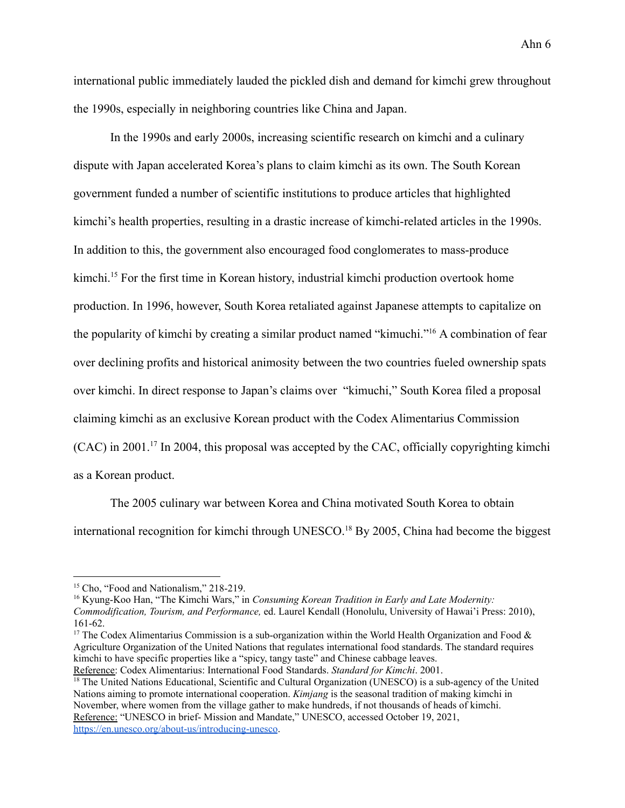international public immediately lauded the pickled dish and demand for kimchi grew throughout the 1990s, especially in neighboring countries like China and Japan.

In the 1990s and early 2000s, increasing scientific research on kimchi and a culinary dispute with Japan accelerated Korea's plans to claim kimchi as its own. The South Korean government funded a number of scientific institutions to produce articles that highlighted kimchi's health properties, resulting in a drastic increase of kimchi-related articles in the 1990s. In addition to this, the government also encouraged food conglomerates to mass-produce kimchi.<sup>15</sup> For the first time in Korean history, industrial kimchi production overtook home production. In 1996, however, South Korea retaliated against Japanese attempts to capitalize on the popularity of kimchi by creating a similar product named "kimuchi."<sup>16</sup> A combination of fear over declining profits and historical animosity between the two countries fueled ownership spats over kimchi. In direct response to Japan's claims over "kimuchi," South Korea filed a proposal claiming kimchi as an exclusive Korean product with the Codex Alimentarius Commission  $(CAC)$  in 2001.<sup>17</sup> In 2004, this proposal was accepted by the CAC, officially copyrighting kimchi as a Korean product.

The 2005 culinary war between Korea and China motivated South Korea to obtain international recognition for kimchi through UNESCO.<sup>18</sup> By 2005, China had become the biggest

<sup>16</sup> Kyung-Koo Han, "The Kimchi Wars," in *Consuming Korean Tradition in Early and Late Modernity: Commodification, Tourism, and Performance,* ed. Laurel Kendall (Honolulu, University of Hawai'i Press: 2010), 161-62.

<sup>&</sup>lt;sup>15</sup> Cho, "Food and Nationalism," 218-219.

<sup>&</sup>lt;sup>17</sup> The Codex Alimentarius Commission is a sub-organization within the World Health Organization and Food  $\&$ Agriculture Organization of the United Nations that regulates international food standards. The standard requires kimchi to have specific properties like a "spicy, tangy taste" and Chinese cabbage leaves.

Reference: Codex Alimentarius: International Food Standards. *Standard for Kimchi*. 2001.

 $\frac{18}{18}$  The United Nations Educational, Scientific and Cultural Organization (UNESCO) is a sub-agency of the United Nations aiming to promote international cooperation. *Kimjang* is the seasonal tradition of making kimchi in November, where women from the village gather to make hundreds, if not thousands of heads of kimchi. Reference: "UNESCO in brief- Mission and Mandate," UNESCO, accessed October 19, 2021, <https://en.unesco.org/about-us/introducing-unesco>.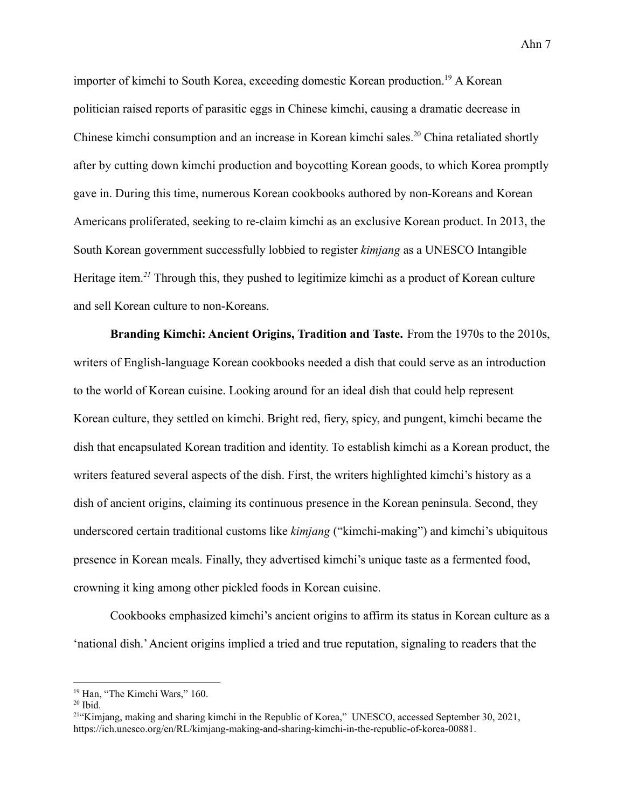importer of kimchi to South Korea, exceeding domestic Korean production.<sup>19</sup> A Korean politician raised reports of parasitic eggs in Chinese kimchi, causing a dramatic decrease in Chinese kimchi consumption and an increase in Korean kimchi sales.<sup>20</sup> China retaliated shortly after by cutting down kimchi production and boycotting Korean goods, to which Korea promptly gave in. During this time, numerous Korean cookbooks authored by non-Koreans and Korean Americans proliferated, seeking to re-claim kimchi as an exclusive Korean product. In 2013, the South Korean government successfully lobbied to register *kimjang* as a UNESCO Intangible Heritage item.*<sup>21</sup>* Through this, they pushed to legitimize kimchi as a product of Korean culture and sell Korean culture to non-Koreans.

**Branding Kimchi: Ancient Origins, Tradition and Taste.** From the 1970s to the 2010s, writers of English-language Korean cookbooks needed a dish that could serve as an introduction to the world of Korean cuisine. Looking around for an ideal dish that could help represent Korean culture, they settled on kimchi. Bright red, fiery, spicy, and pungent, kimchi became the dish that encapsulated Korean tradition and identity. To establish kimchi as a Korean product, the writers featured several aspects of the dish. First, the writers highlighted kimchi's history as a dish of ancient origins, claiming its continuous presence in the Korean peninsula. Second, they underscored certain traditional customs like *kimjang* ("kimchi-making") and kimchi's ubiquitous presence in Korean meals. Finally, they advertised kimchi's unique taste as a fermented food, crowning it king among other pickled foods in Korean cuisine.

Cookbooks emphasized kimchi's ancient origins to affirm its status in Korean culture as a 'national dish.'Ancient origins implied a tried and true reputation, signaling to readers that the

<sup>&</sup>lt;sup>19</sup> Han, "The Kimchi Wars," 160.

 $20$  Ibid.

<sup>&</sup>lt;sup>21"</sup>Kimjang, making and sharing kimchi in the Republic of Korea," UNESCO, accessed September 30, 2021, https://ich.unesco.org/en/RL/kimjang-making-and-sharing-kimchi-in-the-republic-of-korea-00881.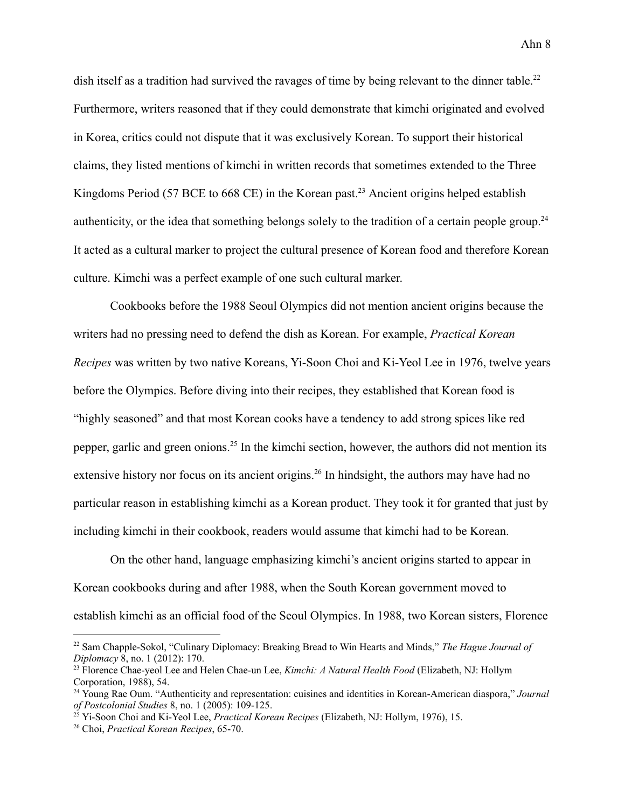dish itself as a tradition had survived the ravages of time by being relevant to the dinner table.<sup>22</sup> Furthermore, writers reasoned that if they could demonstrate that kimchi originated and evolved in Korea, critics could not dispute that it was exclusively Korean. To support their historical claims, they listed mentions of kimchi in written records that sometimes extended to the Three Kingdoms Period (57 BCE to 668 CE) in the Korean past.<sup>23</sup> Ancient origins helped establish authenticity, or the idea that something belongs solely to the tradition of a certain people group.<sup>24</sup> It acted as a cultural marker to project the cultural presence of Korean food and therefore Korean culture. Kimchi was a perfect example of one such cultural marker.

Cookbooks before the 1988 Seoul Olympics did not mention ancient origins because the writers had no pressing need to defend the dish as Korean. For example, *Practical Korean Recipes* was written by two native Koreans, Yi-Soon Choi and Ki-Yeol Lee in 1976, twelve years before the Olympics. Before diving into their recipes, they established that Korean food is "highly seasoned" and that most Korean cooks have a tendency to add strong spices like red pepper, garlic and green onions.<sup>25</sup> In the kimchi section, however, the authors did not mention its extensive history nor focus on its ancient origins.<sup>26</sup> In hindsight, the authors may have had no particular reason in establishing kimchi as a Korean product. They took it for granted that just by including kimchi in their cookbook, readers would assume that kimchi had to be Korean.

On the other hand, language emphasizing kimchi's ancient origins started to appear in Korean cookbooks during and after 1988, when the South Korean government moved to establish kimchi as an official food of the Seoul Olympics. In 1988, two Korean sisters, Florence

<sup>22</sup> Sam Chapple-Sokol, "Culinary Diplomacy: Breaking Bread to Win Hearts and Minds," *The Hague Journal of Diplomacy* 8, no. 1 (2012): 170.

<sup>23</sup> Florence Chae-yeol Lee and Helen Chae-un Lee, *Kimchi: A Natural Health Food* (Elizabeth, NJ: Hollym Corporation, 1988), 54.

<sup>24</sup> Young Rae Oum. "Authenticity and representation: cuisines and identities in Korean-American diaspora," *Journal of Postcolonial Studies* 8, no. 1 (2005): 109-125.

<sup>25</sup> Yi-Soon Choi and Ki-Yeol Lee, *Practical Korean Recipes* (Elizabeth, NJ: Hollym, 1976), 15.

<sup>26</sup> Choi, *Practical Korean Recipes*, 65-70.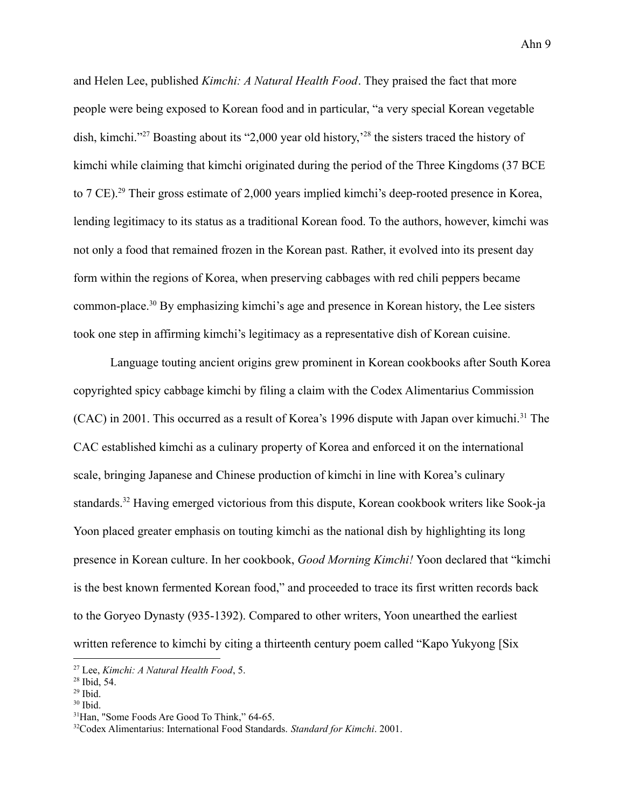and Helen Lee, published *Kimchi: A Natural Health Food*. They praised the fact that more people were being exposed to Korean food and in particular, "a very special Korean vegetable dish, kimchi."<sup>27</sup> Boasting about its "2,000 year old history,<sup>28</sup> the sisters traced the history of kimchi while claiming that kimchi originated during the period of the Three Kingdoms (37 BCE to 7 CE).<sup>29</sup> Their gross estimate of 2,000 years implied kimchi's deep-rooted presence in Korea, lending legitimacy to its status as a traditional Korean food. To the authors, however, kimchi was not only a food that remained frozen in the Korean past. Rather, it evolved into its present day form within the regions of Korea, when preserving cabbages with red chili peppers became common-place.<sup>30</sup> By emphasizing kimchi's age and presence in Korean history, the Lee sisters took one step in affirming kimchi's legitimacy as a representative dish of Korean cuisine.

Language touting ancient origins grew prominent in Korean cookbooks after South Korea copyrighted spicy cabbage kimchi by filing a claim with the Codex Alimentarius Commission (CAC) in 2001. This occurred as a result of Korea's 1996 dispute with Japan over kimuchi.<sup>31</sup> The CAC established kimchi as a culinary property of Korea and enforced it on the international scale, bringing Japanese and Chinese production of kimchi in line with Korea's culinary standards.<sup>32</sup> Having emerged victorious from this dispute, Korean cookbook writers like Sook-ja Yoon placed greater emphasis on touting kimchi as the national dish by highlighting its long presence in Korean culture. In her cookbook, *Good Morning Kimchi!* Yoon declared that "kimchi is the best known fermented Korean food," and proceeded to trace its first written records back to the Goryeo Dynasty (935-1392). Compared to other writers, Yoon unearthed the earliest written reference to kimchi by citing a thirteenth century poem called "Kapo Yukyong [Six

<sup>27</sup> Lee, *Kimchi: A Natural Health Food*, 5.

 $28$  Ibid, 54.

 $29$  Ibid.

<sup>30</sup> Ibid.

<sup>&</sup>lt;sup>31</sup>Han, "Some Foods Are Good To Think," 64-65.

<sup>32</sup>Codex Alimentarius: International Food Standards. *Standard for Kimchi*. 2001.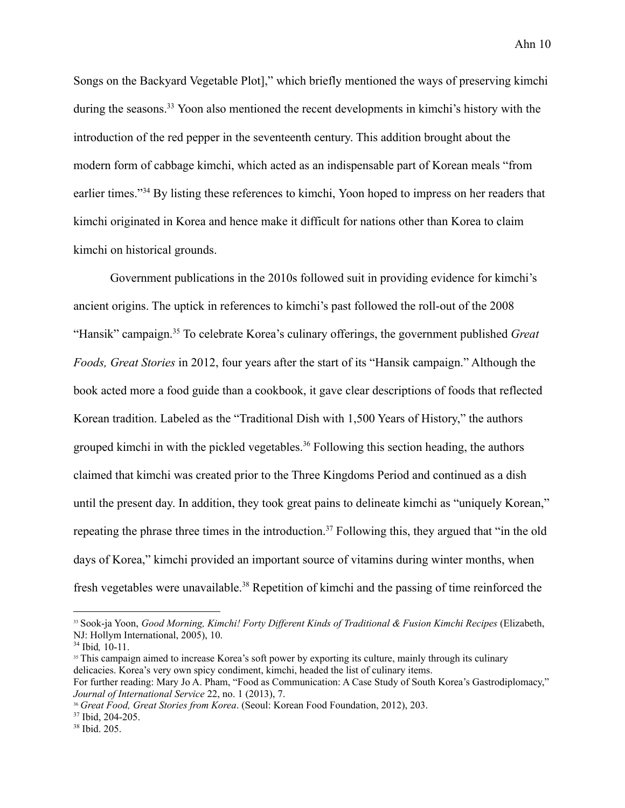Songs on the Backyard Vegetable Plot]," which briefly mentioned the ways of preserving kimchi during the seasons.<sup>33</sup> Yoon also mentioned the recent developments in kimchi's history with the introduction of the red pepper in the seventeenth century. This addition brought about the modern form of cabbage kimchi, which acted as an indispensable part of Korean meals "from earlier times."<sup>34</sup> By listing these references to kimchi, Yoon hoped to impress on her readers that kimchi originated in Korea and hence make it difficult for nations other than Korea to claim kimchi on historical grounds.

Government publications in the 2010s followed suit in providing evidence for kimchi's ancient origins. The uptick in references to kimchi's past followed the roll-out of the 2008 "Hansik" campaign.<sup>35</sup> To celebrate Korea's culinary offerings, the government published *Great Foods, Great Stories* in 2012, four years after the start of its "Hansik campaign." Although the book acted more a food guide than a cookbook, it gave clear descriptions of foods that reflected Korean tradition. Labeled as the "Traditional Dish with 1,500 Years of History," the authors grouped kimchi in with the pickled vegetables.<sup>36</sup> Following this section heading, the authors claimed that kimchi was created prior to the Three Kingdoms Period and continued as a dish until the present day. In addition, they took great pains to delineate kimchi as "uniquely Korean," repeating the phrase three times in the introduction.<sup>37</sup> Following this, they argued that "in the old days of Korea," kimchi provided an important source of vitamins during winter months, when fresh vegetables were unavailable.<sup>38</sup> Repetition of kimchi and the passing of time reinforced the

<sup>33</sup> Sook-ja Yoon, *Good Morning, Kimchi! Forty Dif erent Kinds of Traditional & Fusion Kimchi Recipes* (Elizabeth, NJ: Hollym International, 2005), 10.

<sup>34</sup> Ibid*,* 10-11.

<sup>&</sup>lt;sup>35</sup> This campaign aimed to increase Korea's soft power by exporting its culture, mainly through its culinary delicacies. Korea's very own spicy condiment, kimchi, headed the list of culinary items.

For further reading: Mary Jo A. Pham, "Food as Communication: A Case Study of South Korea's Gastrodiplomacy," *Journal of International Service* 22, no. 1 (2013), 7.

<sup>36</sup> *Great Food, Great Stories from Korea*. (Seoul: Korean Food Foundation, 2012), 203.

<sup>&</sup>lt;sup>37</sup> Ibid, 204-205.

<sup>38</sup> Ibid. 205.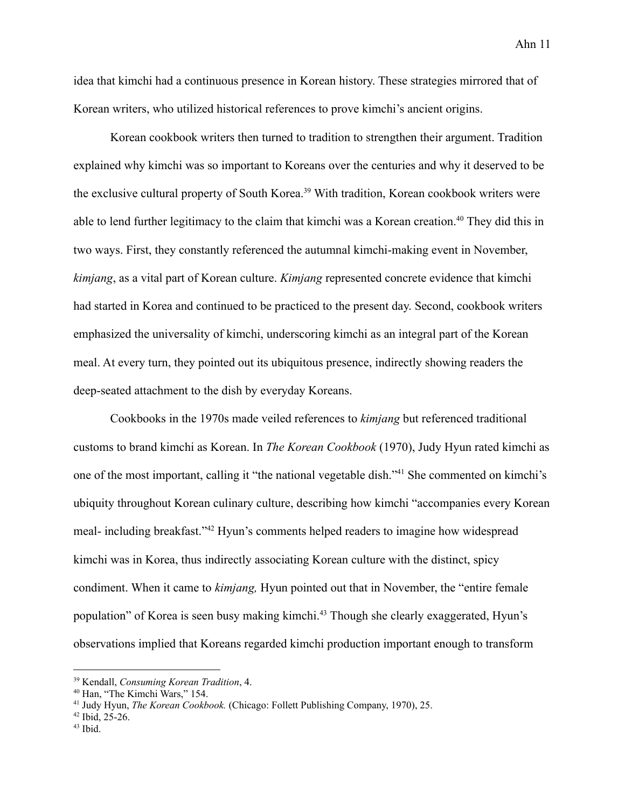idea that kimchi had a continuous presence in Korean history. These strategies mirrored that of Korean writers, who utilized historical references to prove kimchi's ancient origins.

Korean cookbook writers then turned to tradition to strengthen their argument. Tradition explained why kimchi was so important to Koreans over the centuries and why it deserved to be the exclusive cultural property of South Korea.<sup>39</sup> With tradition, Korean cookbook writers were able to lend further legitimacy to the claim that kimchi was a Korean creation.<sup>40</sup> They did this in two ways. First, they constantly referenced the autumnal kimchi-making event in November, *kimjang*, as a vital part of Korean culture. *Kimjang* represented concrete evidence that kimchi had started in Korea and continued to be practiced to the present day. Second, cookbook writers emphasized the universality of kimchi, underscoring kimchi as an integral part of the Korean meal. At every turn, they pointed out its ubiquitous presence, indirectly showing readers the deep-seated attachment to the dish by everyday Koreans.

Cookbooks in the 1970s made veiled references to *kimjang* but referenced traditional customs to brand kimchi as Korean. In *The Korean Cookbook* (1970), Judy Hyun rated kimchi as one of the most important, calling it "the national vegetable dish."<sup>41</sup> She commented on kimchi's ubiquity throughout Korean culinary culture, describing how kimchi "accompanies every Korean meal- including breakfast."<sup>42</sup> Hyun's comments helped readers to imagine how widespread kimchi was in Korea, thus indirectly associating Korean culture with the distinct, spicy condiment. When it came to *kimjang,* Hyun pointed out that in November, the "entire female population" of Korea is seen busy making kimchi.<sup>43</sup> Though she clearly exaggerated, Hyun's observations implied that Koreans regarded kimchi production important enough to transform

<sup>39</sup> Kendall, *Consuming Korean Tradition*, 4.

<sup>40</sup> Han, "The Kimchi Wars," 154.

<sup>41</sup> Judy Hyun, *The Korean Cookbook.* (Chicago: Follett Publishing Company, 1970), 25.

 $42$  Ibid, 25-26.

 $43$  Ibid.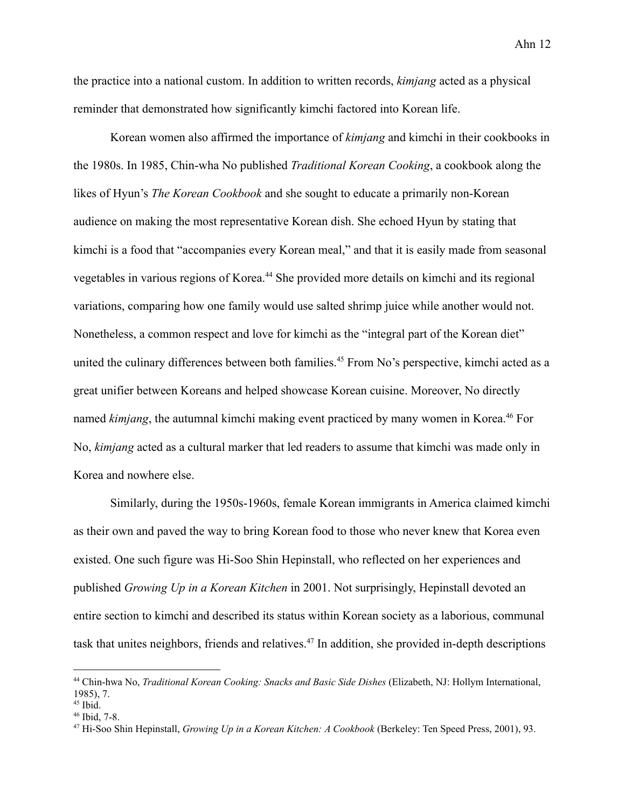the practice into a national custom. In addition to written records, *kimjang* acted as a physical reminder that demonstrated how significantly kimchi factored into Korean life.

Korean women also affirmed the importance of *kimjang* and kimchi in their cookbooks in the 1980s. In 1985, Chin-wha No published *Traditional Korean Cooking*, a cookbook along the likes of Hyun's *The Korean Cookbook* and she sought to educate a primarily non-Korean audience on making the most representative Korean dish. She echoed Hyun by stating that kimchi is a food that "accompanies every Korean meal," and that it is easily made from seasonal vegetables in various regions of Korea.<sup>44</sup> She provided more details on kimchi and its regional variations, comparing how one family would use salted shrimp juice while another would not. Nonetheless, a common respect and love for kimchi as the "integral part of the Korean diet" united the culinary differences between both families.<sup>45</sup> From No's perspective, kimchi acted as a great unifier between Koreans and helped showcase Korean cuisine. Moreover, No directly named *kimjang*, the autumnal kimchi making event practiced by many women in Korea.<sup>46</sup> For No, *kimjang* acted as a cultural marker that led readers to assume that kimchi was made only in Korea and nowhere else.

Similarly, during the 1950s-1960s, female Korean immigrants in America claimed kimchi as their own and paved the way to bring Korean food to those who never knew that Korea even existed. One such figure was Hi-Soo Shin Hepinstall, who reflected on her experiences and published *Growing Up in a Korean Kitchen* in 2001. Not surprisingly, Hepinstall devoted an entire section to kimchi and described its status within Korean society as a laborious, communal task that unites neighbors, friends and relatives.<sup>47</sup> In addition, she provided in-depth descriptions

<sup>44</sup> Chin-hwa No, *Traditional Korean Cooking: Snacks and Basic Side Dishes* (Elizabeth, NJ: Hollym International, 1985), 7.

 $45$  Ibid.

<sup>46</sup> Ibid, 7-8.

<sup>47</sup> Hi-Soo Shin Hepinstall, *Growing Up in a Korean Kitchen: A Cookbook* (Berkeley: Ten Speed Press, 2001), 93.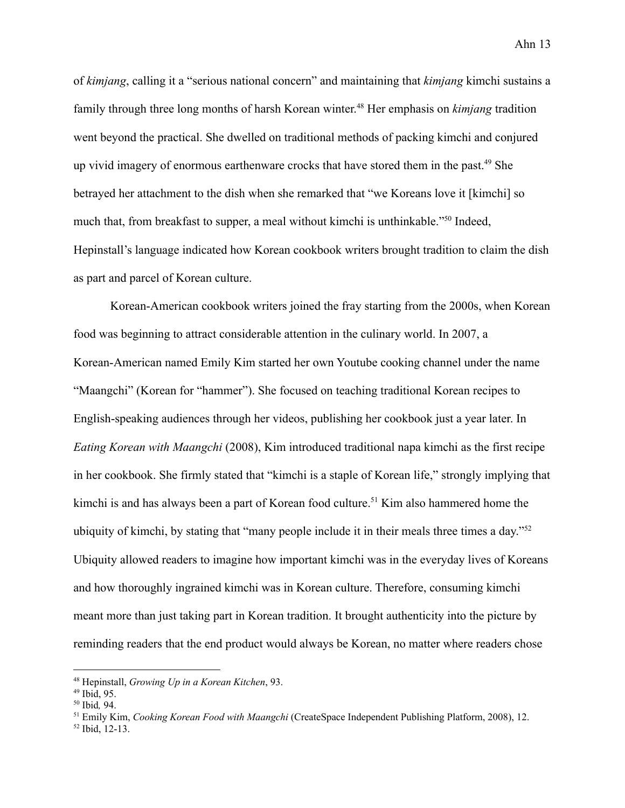of *kimjang*, calling it a "serious national concern" and maintaining that *kimjang* kimchi sustains a family through three long months of harsh Korean winter. <sup>48</sup> Her emphasis on *kimjang* tradition went beyond the practical. She dwelled on traditional methods of packing kimchi and conjured up vivid imagery of enormous earthenware crocks that have stored them in the past.<sup>49</sup> She betrayed her attachment to the dish when she remarked that "we Koreans love it [kimchi] so much that, from breakfast to supper, a meal without kimchi is unthinkable."<sup>50</sup> Indeed, Hepinstall's language indicated how Korean cookbook writers brought tradition to claim the dish as part and parcel of Korean culture.

Korean-American cookbook writers joined the fray starting from the 2000s, when Korean food was beginning to attract considerable attention in the culinary world. In 2007, a Korean-American named Emily Kim started her own Youtube cooking channel under the name "Maangchi" (Korean for "hammer"). She focused on teaching traditional Korean recipes to English-speaking audiences through her videos, publishing her cookbook just a year later. In *Eating Korean with Maangchi* (2008), Kim introduced traditional napa kimchi as the first recipe in her cookbook. She firmly stated that "kimchi is a staple of Korean life," strongly implying that kimchi is and has always been a part of Korean food culture.<sup>51</sup> Kim also hammered home the ubiquity of kimchi, by stating that "many people include it in their meals three times a day."<sup>52</sup> Ubiquity allowed readers to imagine how important kimchi was in the everyday lives of Koreans and how thoroughly ingrained kimchi was in Korean culture. Therefore, consuming kimchi meant more than just taking part in Korean tradition. It brought authenticity into the picture by reminding readers that the end product would always be Korean, no matter where readers chose

<sup>48</sup> Hepinstall, *Growing Up in a Korean Kitchen*, 93.

 $49$  Ibid, 95.

<sup>50</sup> Ibid*,* 94.

<sup>51</sup> Emily Kim, *Cooking Korean Food with Maangchi* (CreateSpace Independent Publishing Platform, 2008), 12.

<sup>52</sup> Ibid, 12-13.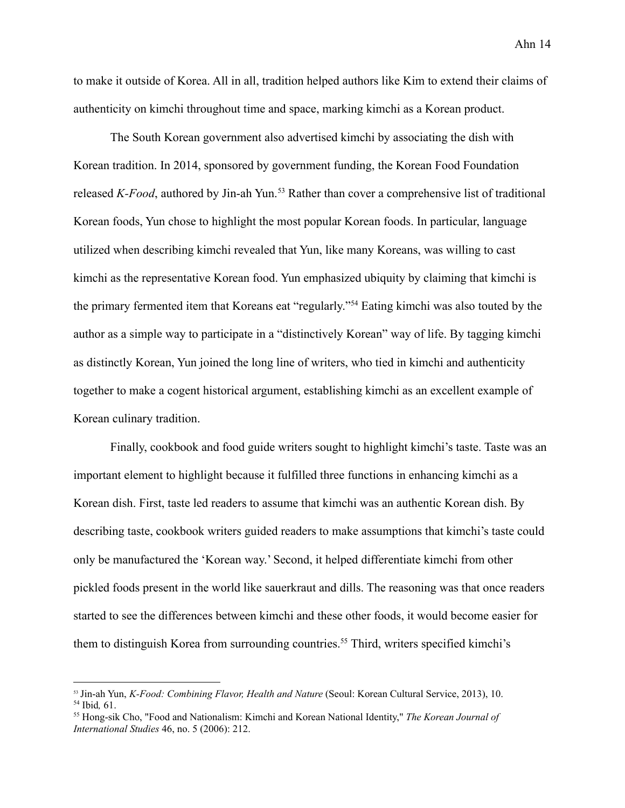to make it outside of Korea. All in all, tradition helped authors like Kim to extend their claims of authenticity on kimchi throughout time and space, marking kimchi as a Korean product.

The South Korean government also advertised kimchi by associating the dish with Korean tradition. In 2014, sponsored by government funding, the Korean Food Foundation released *K-Food*, authored by Jin-ah Yun.<sup>53</sup> Rather than cover a comprehensive list of traditional Korean foods, Yun chose to highlight the most popular Korean foods. In particular, language utilized when describing kimchi revealed that Yun, like many Koreans, was willing to cast kimchi as the representative Korean food. Yun emphasized ubiquity by claiming that kimchi is the primary fermented item that Koreans eat "regularly."<sup>54</sup> Eating kimchi was also touted by the author as a simple way to participate in a "distinctively Korean" way of life. By tagging kimchi as distinctly Korean, Yun joined the long line of writers, who tied in kimchi and authenticity together to make a cogent historical argument, establishing kimchi as an excellent example of Korean culinary tradition.

Finally, cookbook and food guide writers sought to highlight kimchi's taste. Taste was an important element to highlight because it fulfilled three functions in enhancing kimchi as a Korean dish. First, taste led readers to assume that kimchi was an authentic Korean dish. By describing taste, cookbook writers guided readers to make assumptions that kimchi's taste could only be manufactured the 'Korean way.' Second, it helped differentiate kimchi from other pickled foods present in the world like sauerkraut and dills. The reasoning was that once readers started to see the differences between kimchi and these other foods, it would become easier for them to distinguish Korea from surrounding countries.<sup>55</sup> Third, writers specified kimchi's

<sup>54</sup> Ibid*,* 61. <sup>53</sup> Jin-ah Yun, *K-Food: Combining Flavor, Health and Nature* (Seoul: Korean Cultural Service, 2013), 10.

<sup>55</sup> Hong-sik Cho, "Food and Nationalism: Kimchi and Korean National Identity," *The Korean Journal of International Studies* 46, no. 5 (2006): 212.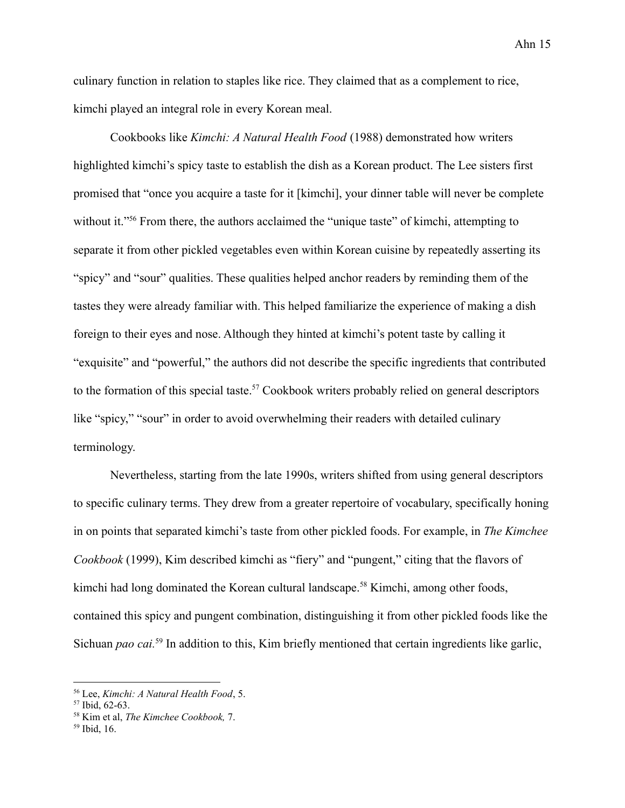culinary function in relation to staples like rice. They claimed that as a complement to rice, kimchi played an integral role in every Korean meal.

Cookbooks like *Kimchi: A Natural Health Food* (1988) demonstrated how writers highlighted kimchi's spicy taste to establish the dish as a Korean product. The Lee sisters first promised that "once you acquire a taste for it [kimchi], your dinner table will never be complete without it."<sup>56</sup> From there, the authors acclaimed the "unique taste" of kimchi, attempting to separate it from other pickled vegetables even within Korean cuisine by repeatedly asserting its "spicy" and "sour" qualities. These qualities helped anchor readers by reminding them of the tastes they were already familiar with. This helped familiarize the experience of making a dish foreign to their eyes and nose. Although they hinted at kimchi's potent taste by calling it "exquisite" and "powerful," the authors did not describe the specific ingredients that contributed to the formation of this special taste.<sup>57</sup> Cookbook writers probably relied on general descriptors like "spicy," "sour" in order to avoid overwhelming their readers with detailed culinary terminology.

Nevertheless, starting from the late 1990s, writers shifted from using general descriptors to specific culinary terms. They drew from a greater repertoire of vocabulary, specifically honing in on points that separated kimchi's taste from other pickled foods. For example, in *The Kimchee Cookbook* (1999), Kim described kimchi as "fiery" and "pungent," citing that the flavors of kimchi had long dominated the Korean cultural landscape.<sup>58</sup> Kimchi, among other foods, contained this spicy and pungent combination, distinguishing it from other pickled foods like the Sichuan *pao cai.*<sup>59</sup> In addition to this, Kim briefly mentioned that certain ingredients like garlic,

<sup>56</sup> Lee, *Kimchi: A Natural Health Food*, 5.

<sup>57</sup> Ibid, 62-63.

<sup>58</sup> Kim et al, *The Kimchee Cookbook,* 7.

<sup>59</sup> Ibid, 16.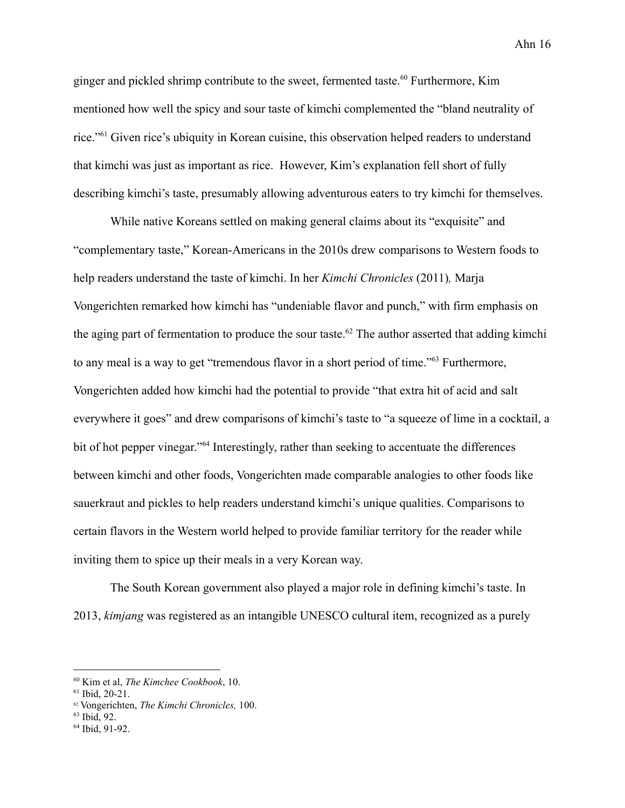ginger and pickled shrimp contribute to the sweet, fermented taste.<sup>60</sup> Furthermore, Kim mentioned how well the spicy and sour taste of kimchi complemented the "bland neutrality of rice."<sup>61</sup> Given rice's ubiquity in Korean cuisine, this observation helped readers to understand that kimchi was just as important as rice. However, Kim's explanation fell short of fully describing kimchi's taste, presumably allowing adventurous eaters to try kimchi for themselves.

While native Koreans settled on making general claims about its "exquisite" and "complementary taste," Korean-Americans in the 2010s drew comparisons to Western foods to help readers understand the taste of kimchi. In her *Kimchi Chronicles* (2011)*,* Marja Vongerichten remarked how kimchi has "undeniable flavor and punch," with firm emphasis on the aging part of fermentation to produce the sour taste.<sup>62</sup> The author asserted that adding kimchi to any meal is a way to get "tremendous flavor in a short period of time."<sup>63</sup> Furthermore, Vongerichten added how kimchi had the potential to provide "that extra hit of acid and salt everywhere it goes" and drew comparisons of kimchi's taste to "a squeeze of lime in a cocktail, a bit of hot pepper vinegar."<sup>64</sup> Interestingly, rather than seeking to accentuate the differences between kimchi and other foods, Vongerichten made comparable analogies to other foods like sauerkraut and pickles to help readers understand kimchi's unique qualities. Comparisons to certain flavors in the Western world helped to provide familiar territory for the reader while inviting them to spice up their meals in a very Korean way.

The South Korean government also played a major role in defining kimchi's taste. In 2013, *kimjang* was registered as an intangible UNESCO cultural item, recognized as a purely

<sup>60</sup> Kim et al, *The Kimchee Cookbook*, 10.

<sup>61</sup> Ibid, 20-21.

<sup>62</sup> Vongerichten, *The Kimchi Chronicles,* 100.

 $63$  Ibid, 92.

<sup>64</sup> Ibid, 91-92.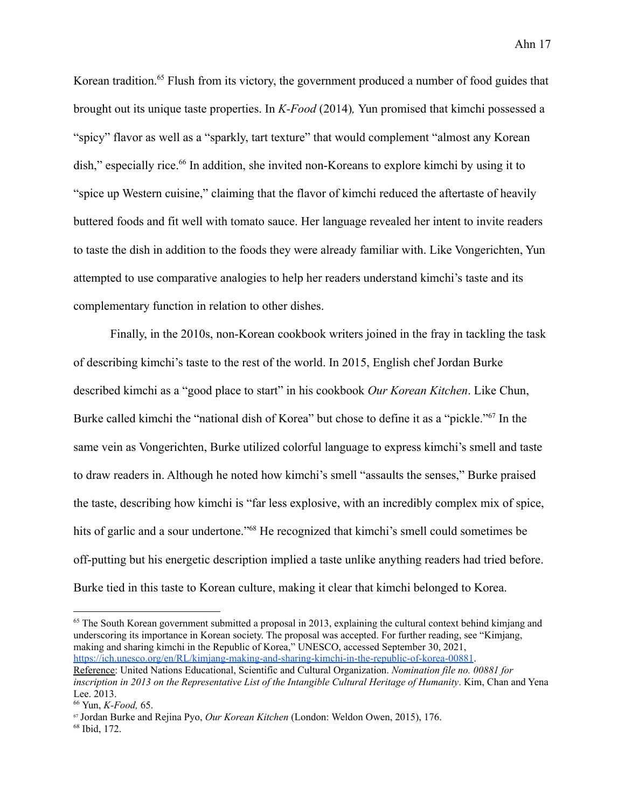Korean tradition.<sup>65</sup> Flush from its victory, the government produced a number of food guides that brought out its unique taste properties. In *K-Food* (2014)*,* Yun promised that kimchi possessed a "spicy" flavor as well as a "sparkly, tart texture" that would complement "almost any Korean dish," especially rice.<sup>66</sup> In addition, she invited non-Koreans to explore kimchi by using it to "spice up Western cuisine," claiming that the flavor of kimchi reduced the aftertaste of heavily buttered foods and fit well with tomato sauce. Her language revealed her intent to invite readers to taste the dish in addition to the foods they were already familiar with. Like Vongerichten, Yun attempted to use comparative analogies to help her readers understand kimchi's taste and its complementary function in relation to other dishes.

Finally, in the 2010s, non-Korean cookbook writers joined in the fray in tackling the task of describing kimchi's taste to the rest of the world. In 2015, English chef Jordan Burke described kimchi as a "good place to start" in his cookbook *Our Korean Kitchen*. Like Chun, Burke called kimchi the "national dish of Korea" but chose to define it as a "pickle."<sup>67</sup> In the same vein as Vongerichten, Burke utilized colorful language to express kimchi's smell and taste to draw readers in. Although he noted how kimchi's smell "assaults the senses," Burke praised the taste, describing how kimchi is "far less explosive, with an incredibly complex mix of spice, hits of garlic and a sour undertone."<sup>68</sup> He recognized that kimchi's smell could sometimes be off-putting but his energetic description implied a taste unlike anything readers had tried before. Burke tied in this taste to Korean culture, making it clear that kimchi belonged to Korea.

<sup>65</sup> The South Korean government submitted a proposal in 2013, explaining the cultural context behind kimjang and underscoring its importance in Korean society. The proposal was accepted. For further reading, see "Kimjang, making and sharing kimchi in the Republic of Korea," UNESCO, accessed September 30, 2021, <https://ich.unesco.org/en/RL/kimjang-making-and-sharing-kimchi-in-the-republic-of-korea-00881>. Reference: United Nations Educational, Scientific and Cultural Organization. *Nomination file no. 00881 for inscription in 2013 on the Representative List of the Intangible Cultural Heritage of Humanity*. Kim, Chan and Yena

Lee. 2013.

<sup>66</sup> Yun, *K-Food,* 65.

<sup>67</sup> Jordan Burke and Rejina Pyo, *Our Korean Kitchen* (London: Weldon Owen, 2015), 176.

<sup>68</sup> Ibid, 172.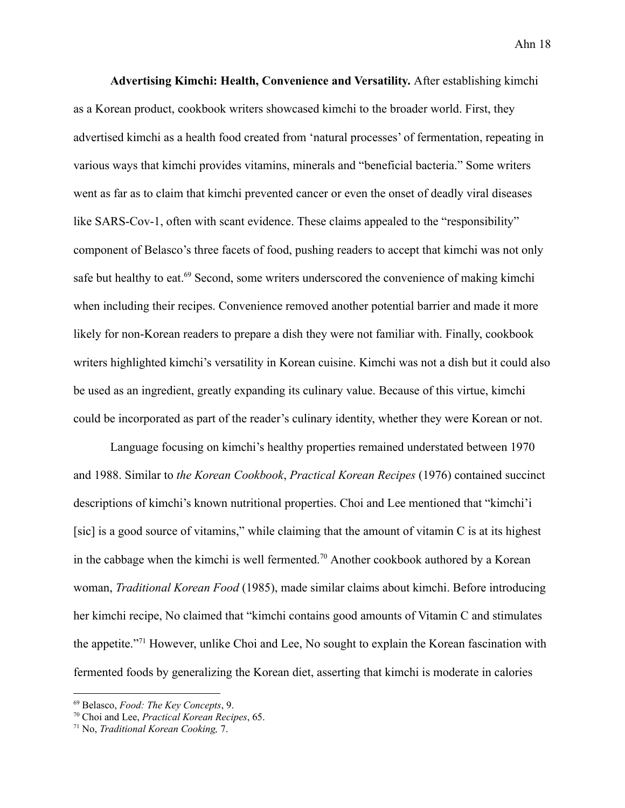**Advertising Kimchi: Health, Convenience and Versatility.** After establishing kimchi as a Korean product, cookbook writers showcased kimchi to the broader world. First, they advertised kimchi as a health food created from 'natural processes' of fermentation, repeating in various ways that kimchi provides vitamins, minerals and "beneficial bacteria." Some writers went as far as to claim that kimchi prevented cancer or even the onset of deadly viral diseases like SARS-Cov-1, often with scant evidence. These claims appealed to the "responsibility" component of Belasco's three facets of food, pushing readers to accept that kimchi was not only safe but healthy to eat.<sup>69</sup> Second, some writers underscored the convenience of making kimchi when including their recipes. Convenience removed another potential barrier and made it more likely for non-Korean readers to prepare a dish they were not familiar with. Finally, cookbook writers highlighted kimchi's versatility in Korean cuisine. Kimchi was not a dish but it could also be used as an ingredient, greatly expanding its culinary value. Because of this virtue, kimchi could be incorporated as part of the reader's culinary identity, whether they were Korean or not.

Language focusing on kimchi's healthy properties remained understated between 1970 and 1988. Similar to *the Korean Cookbook*, *Practical Korean Recipes* (1976) contained succinct descriptions of kimchi's known nutritional properties. Choi and Lee mentioned that "kimchi'i [sic] is a good source of vitamins," while claiming that the amount of vitamin C is at its highest in the cabbage when the kimchi is well fermented.<sup>70</sup> Another cookbook authored by a Korean woman, *Traditional Korean Food* (1985), made similar claims about kimchi. Before introducing her kimchi recipe, No claimed that "kimchi contains good amounts of Vitamin C and stimulates the appetite."<sup>71</sup> However, unlike Choi and Lee, No sought to explain the Korean fascination with fermented foods by generalizing the Korean diet, asserting that kimchi is moderate in calories

<sup>69</sup> Belasco, *Food: The Key Concepts*, 9.

<sup>70</sup> Choi and Lee, *Practical Korean Recipes*, 65.

<sup>71</sup> No, *Traditional Korean Cooking,* 7.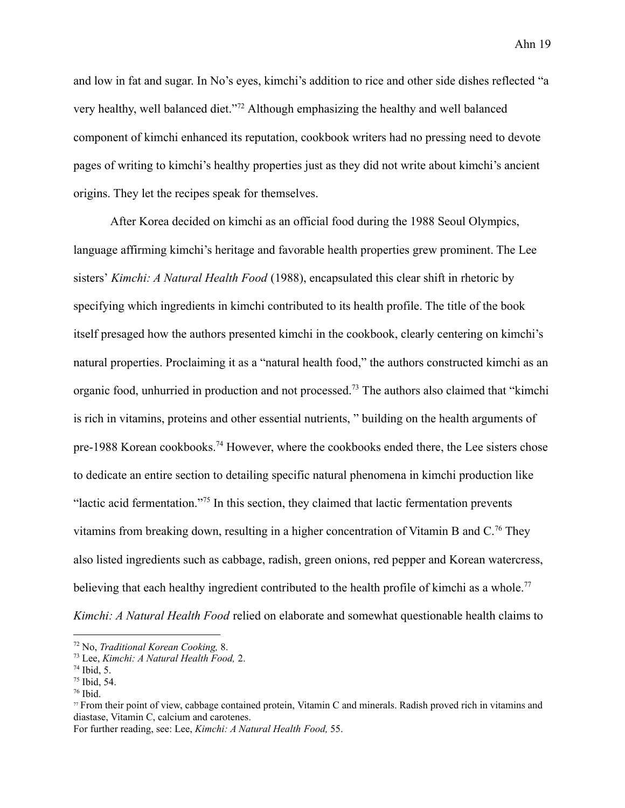and low in fat and sugar. In No's eyes, kimchi's addition to rice and other side dishes reflected "a very healthy, well balanced diet."<sup>72</sup> Although emphasizing the healthy and well balanced component of kimchi enhanced its reputation, cookbook writers had no pressing need to devote pages of writing to kimchi's healthy properties just as they did not write about kimchi's ancient origins. They let the recipes speak for themselves.

After Korea decided on kimchi as an official food during the 1988 Seoul Olympics, language affirming kimchi's heritage and favorable health properties grew prominent. The Lee sisters' *Kimchi: A Natural Health Food* (1988), encapsulated this clear shift in rhetoric by specifying which ingredients in kimchi contributed to its health profile. The title of the book itself presaged how the authors presented kimchi in the cookbook, clearly centering on kimchi's natural properties. Proclaiming it as a "natural health food," the authors constructed kimchi as an organic food, unhurried in production and not processed.<sup>73</sup> The authors also claimed that "kimchi is rich in vitamins, proteins and other essential nutrients, " building on the health arguments of pre-1988 Korean cookbooks.<sup>74</sup> However, where the cookbooks ended there, the Lee sisters chose to dedicate an entire section to detailing specific natural phenomena in kimchi production like "lactic acid fermentation."<sup>75</sup> In this section, they claimed that lactic fermentation prevents vitamins from breaking down, resulting in a higher concentration of Vitamin B and  $C<sup>76</sup>$  They also listed ingredients such as cabbage, radish, green onions, red pepper and Korean watercress, believing that each healthy ingredient contributed to the health profile of kimchi as a whole.<sup>77</sup> *Kimchi: A Natural Health Food* relied on elaborate and somewhat questionable health claims to

For further reading, see: Lee, *Kimchi: A Natural Health Food,* 55.

<sup>72</sup> No, *Traditional Korean Cooking,* 8.

<sup>73</sup> Lee, *Kimchi: A Natural Health Food,* 2.

 $74$  Ibid, 5.

 $75$  Ibid, 54.

 $76$  Ibid.

<sup>77</sup> From their point of view, cabbage contained protein, Vitamin C and minerals. Radish proved rich in vitamins and diastase, Vitamin C, calcium and carotenes.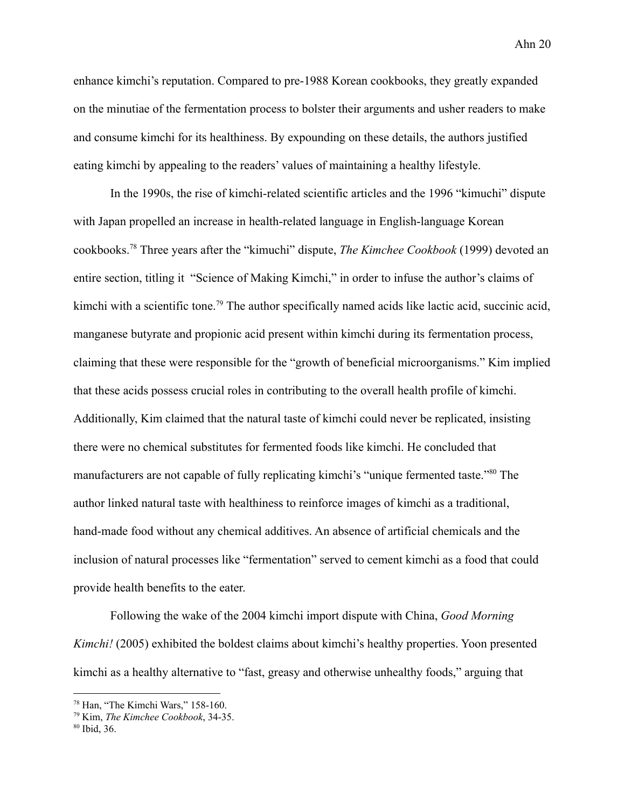enhance kimchi's reputation. Compared to pre-1988 Korean cookbooks, they greatly expanded on the minutiae of the fermentation process to bolster their arguments and usher readers to make and consume kimchi for its healthiness. By expounding on these details, the authors justified eating kimchi by appealing to the readers' values of maintaining a healthy lifestyle.

In the 1990s, the rise of kimchi-related scientific articles and the 1996 "kimuchi" dispute with Japan propelled an increase in health-related language in English-language Korean cookbooks.<sup>78</sup> Three years after the "kimuchi" dispute, *The Kimchee Cookbook* (1999) devoted an entire section, titling it "Science of Making Kimchi," in order to infuse the author's claims of kimchi with a scientific tone.<sup>79</sup> The author specifically named acids like lactic acid, succinic acid, manganese butyrate and propionic acid present within kimchi during its fermentation process, claiming that these were responsible for the "growth of beneficial microorganisms." Kim implied that these acids possess crucial roles in contributing to the overall health profile of kimchi. Additionally, Kim claimed that the natural taste of kimchi could never be replicated, insisting there were no chemical substitutes for fermented foods like kimchi. He concluded that manufacturers are not capable of fully replicating kimchi's "unique fermented taste."<sup>80</sup> The author linked natural taste with healthiness to reinforce images of kimchi as a traditional, hand-made food without any chemical additives. An absence of artificial chemicals and the inclusion of natural processes like "fermentation" served to cement kimchi as a food that could provide health benefits to the eater.

Following the wake of the 2004 kimchi import dispute with China, *Good Morning Kimchi!* (2005) exhibited the boldest claims about kimchi's healthy properties. Yoon presented kimchi as a healthy alternative to "fast, greasy and otherwise unhealthy foods," arguing that

<sup>78</sup> Han, "The Kimchi Wars," 158-160.

<sup>79</sup> Kim, *The Kimchee Cookbook*, 34-35.

<sup>80</sup> Ibid, 36.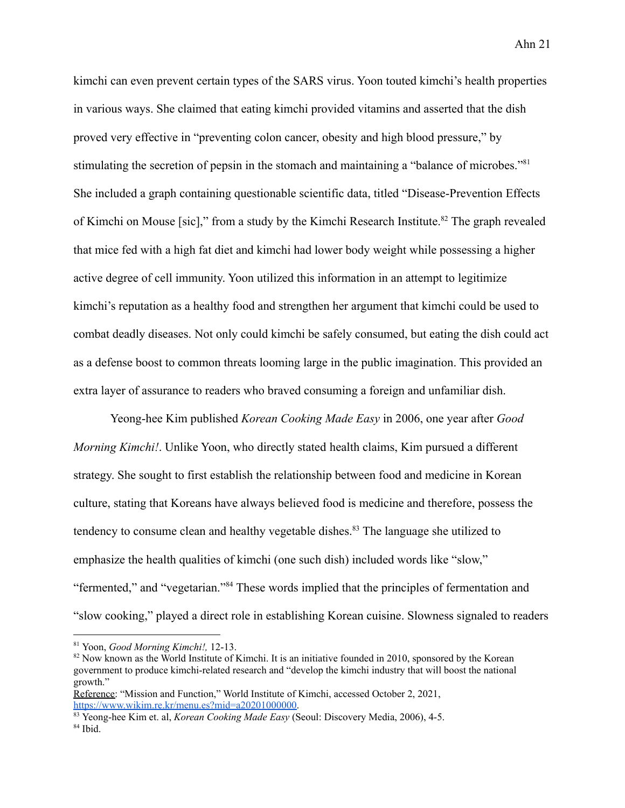kimchi can even prevent certain types of the SARS virus. Yoon touted kimchi's health properties in various ways. She claimed that eating kimchi provided vitamins and asserted that the dish proved very effective in "preventing colon cancer, obesity and high blood pressure," by stimulating the secretion of pepsin in the stomach and maintaining a "balance of microbes."<sup>81</sup> She included a graph containing questionable scientific data, titled "Disease-Prevention Effects of Kimchi on Mouse [sic]," from a study by the Kimchi Research Institute.<sup>82</sup> The graph revealed that mice fed with a high fat diet and kimchi had lower body weight while possessing a higher active degree of cell immunity. Yoon utilized this information in an attempt to legitimize kimchi's reputation as a healthy food and strengthen her argument that kimchi could be used to combat deadly diseases. Not only could kimchi be safely consumed, but eating the dish could act as a defense boost to common threats looming large in the public imagination. This provided an extra layer of assurance to readers who braved consuming a foreign and unfamiliar dish.

Yeong-hee Kim published *Korean Cooking Made Easy* in 2006, one year after *Good Morning Kimchi!*. Unlike Yoon, who directly stated health claims, Kim pursued a different strategy. She sought to first establish the relationship between food and medicine in Korean culture, stating that Koreans have always believed food is medicine and therefore, possess the tendency to consume clean and healthy vegetable dishes.<sup>83</sup> The language she utilized to emphasize the health qualities of kimchi (one such dish) included words like "slow," "fermented," and "vegetarian."<sup>84</sup> These words implied that the principles of fermentation and "slow cooking," played a direct role in establishing Korean cuisine. Slowness signaled to readers

<sup>81</sup> Yoon, *Good Morning Kimchi!,* 12-13.

<sup>&</sup>lt;sup>82</sup> Now known as the World Institute of Kimchi. It is an initiative founded in 2010, sponsored by the Korean government to produce kimchi-related research and "develop the kimchi industry that will boost the national growth."

Reference: "Mission and Function," World Institute of Kimchi, accessed October 2, 2021, [https://www.wikim.re.kr/menu.es?mid=a20201000000.](https://www.wikim.re.kr/menu.es?mid=a20201000000)

 $84$  Ibid. <sup>83</sup> Yeong-hee Kim et. al, *Korean Cooking Made Easy* (Seoul: Discovery Media, 2006), 4-5.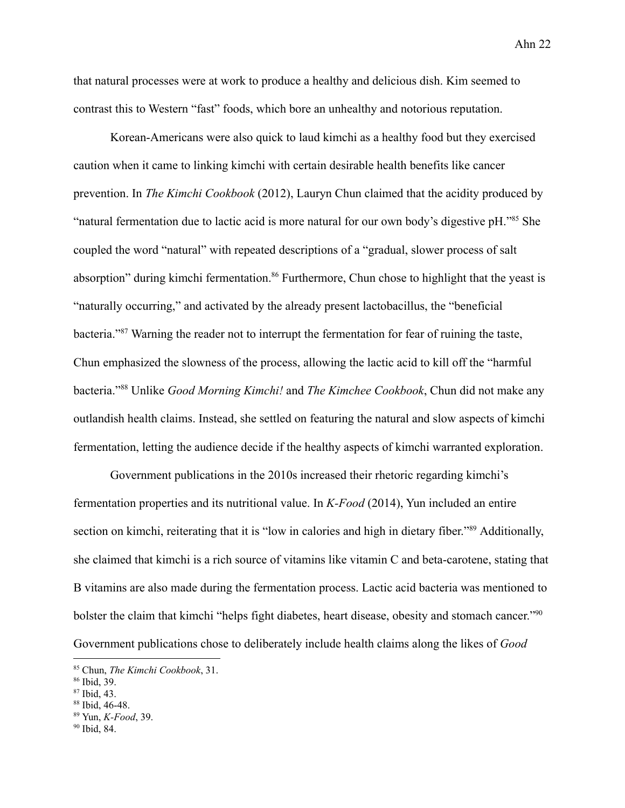that natural processes were at work to produce a healthy and delicious dish. Kim seemed to contrast this to Western "fast" foods, which bore an unhealthy and notorious reputation.

Korean-Americans were also quick to laud kimchi as a healthy food but they exercised caution when it came to linking kimchi with certain desirable health benefits like cancer prevention. In *The Kimchi Cookbook* (2012), Lauryn Chun claimed that the acidity produced by "natural fermentation due to lactic acid is more natural for our own body's digestive pH."<sup>85</sup> She coupled the word "natural" with repeated descriptions of a "gradual, slower process of salt absorption" during kimchi fermentation.<sup>86</sup> Furthermore, Chun chose to highlight that the yeast is "naturally occurring," and activated by the already present lactobacillus, the "beneficial bacteria."<sup>87</sup> Warning the reader not to interrupt the fermentation for fear of ruining the taste, Chun emphasized the slowness of the process, allowing the lactic acid to kill off the "harmful bacteria."<sup>88</sup> Unlike *Good Morning Kimchi!* and *The Kimchee Cookbook*, Chun did not make any outlandish health claims. Instead, she settled on featuring the natural and slow aspects of kimchi fermentation, letting the audience decide if the healthy aspects of kimchi warranted exploration.

Government publications in the 2010s increased their rhetoric regarding kimchi's fermentation properties and its nutritional value. In *K-Food* (2014), Yun included an entire section on kimchi, reiterating that it is "low in calories and high in dietary fiber."<sup>89</sup> Additionally, she claimed that kimchi is a rich source of vitamins like vitamin C and beta-carotene, stating that B vitamins are also made during the fermentation process. Lactic acid bacteria was mentioned to bolster the claim that kimchi "helps fight diabetes, heart disease, obesity and stomach cancer."<sup>90</sup> Government publications chose to deliberately include health claims along the likes of *Good*

<sup>85</sup> Chun, *The Kimchi Cookbook*, 31.

<sup>86</sup> Ibid, 39.

<sup>87</sup> Ibid, 43.

<sup>88</sup> Ibid, 46-48.

<sup>89</sup> Yun, *K-Food*, 39.

<sup>90</sup> Ibid, 84.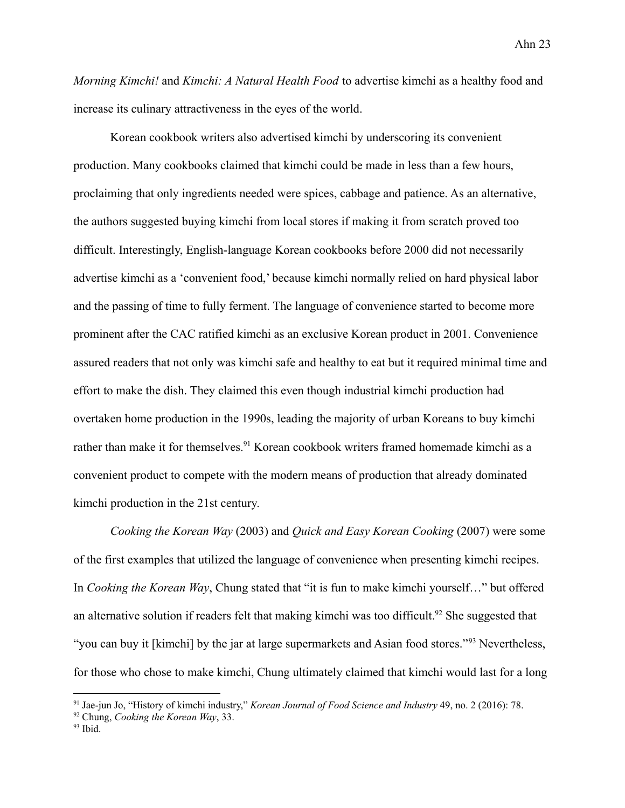*Morning Kimchi!* and *Kimchi: A Natural Health Food* to advertise kimchi as a healthy food and increase its culinary attractiveness in the eyes of the world.

Korean cookbook writers also advertised kimchi by underscoring its convenient production. Many cookbooks claimed that kimchi could be made in less than a few hours, proclaiming that only ingredients needed were spices, cabbage and patience. As an alternative, the authors suggested buying kimchi from local stores if making it from scratch proved too difficult. Interestingly, English-language Korean cookbooks before 2000 did not necessarily advertise kimchi as a 'convenient food,' because kimchi normally relied on hard physical labor and the passing of time to fully ferment. The language of convenience started to become more prominent after the CAC ratified kimchi as an exclusive Korean product in 2001. Convenience assured readers that not only was kimchi safe and healthy to eat but it required minimal time and effort to make the dish. They claimed this even though industrial kimchi production had overtaken home production in the 1990s, leading the majority of urban Koreans to buy kimchi rather than make it for themselves.<sup>91</sup> Korean cookbook writers framed homemade kimchi as a convenient product to compete with the modern means of production that already dominated kimchi production in the 21st century.

*Cooking the Korean Way* (2003) and *Quick and Easy Korean Cooking* (2007) were some of the first examples that utilized the language of convenience when presenting kimchi recipes. In *Cooking the Korean Way*, Chung stated that "it is fun to make kimchi yourself…" but offered an alternative solution if readers felt that making kimchi was too difficult.<sup>92</sup> She suggested that "you can buy it [kimchi] by the jar at large supermarkets and Asian food stores."<sup>93</sup> Nevertheless, for those who chose to make kimchi, Chung ultimately claimed that kimchi would last for a long

<sup>91</sup> Jae-jun Jo, "History of kimchi industry," *Korean Journal of Food Science and Industry* 49, no. 2 (2016): 78.

<sup>92</sup> Chung, *Cooking the Korean Way*, 33.

<sup>93</sup> Ibid.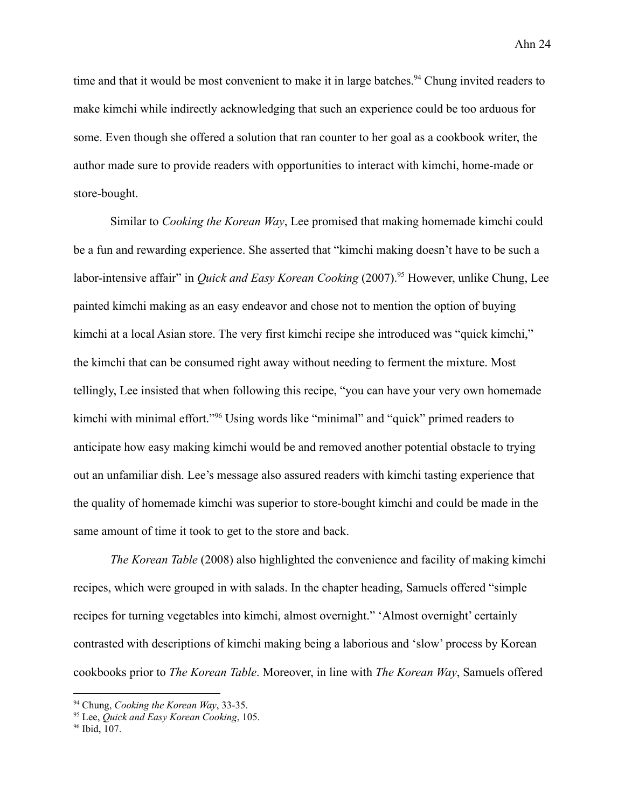time and that it would be most convenient to make it in large batches.<sup>94</sup> Chung invited readers to make kimchi while indirectly acknowledging that such an experience could be too arduous for some. Even though she offered a solution that ran counter to her goal as a cookbook writer, the author made sure to provide readers with opportunities to interact with kimchi, home-made or store-bought.

Similar to *Cooking the Korean Way*, Lee promised that making homemade kimchi could be a fun and rewarding experience. She asserted that "kimchi making doesn't have to be such a labor-intensive affair" in *Quick and Easy Korean Cooking* (2007).<sup>95</sup> However, unlike Chung, Lee painted kimchi making as an easy endeavor and chose not to mention the option of buying kimchi at a local Asian store. The very first kimchi recipe she introduced was "quick kimchi," the kimchi that can be consumed right away without needing to ferment the mixture. Most tellingly, Lee insisted that when following this recipe, "you can have your very own homemade kimchi with minimal effort."<sup>96</sup> Using words like "minimal" and "quick" primed readers to anticipate how easy making kimchi would be and removed another potential obstacle to trying out an unfamiliar dish. Lee's message also assured readers with kimchi tasting experience that the quality of homemade kimchi was superior to store-bought kimchi and could be made in the same amount of time it took to get to the store and back.

*The Korean Table* (2008) also highlighted the convenience and facility of making kimchi recipes, which were grouped in with salads. In the chapter heading, Samuels offered "simple recipes for turning vegetables into kimchi, almost overnight." 'Almost overnight' certainly contrasted with descriptions of kimchi making being a laborious and 'slow' process by Korean cookbooks prior to *The Korean Table*. Moreover, in line with *The Korean Way*, Samuels offered

<sup>94</sup> Chung, *Cooking the Korean Way*, 33-35.

<sup>95</sup> Lee, *Quick and Easy Korean Cooking*, 105.

<sup>96</sup> Ibid, 107.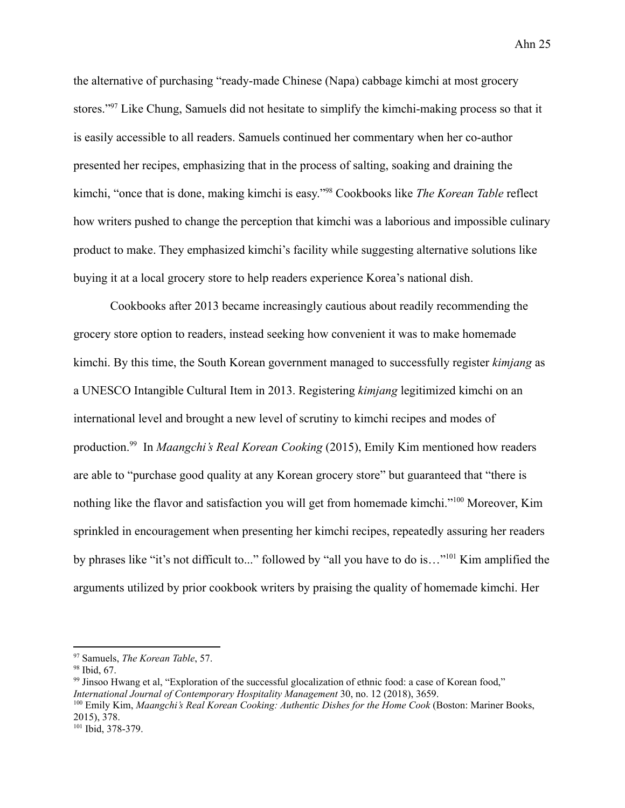the alternative of purchasing "ready-made Chinese (Napa) cabbage kimchi at most grocery stores."<sup>97</sup> Like Chung, Samuels did not hesitate to simplify the kimchi-making process so that it is easily accessible to all readers. Samuels continued her commentary when her co-author presented her recipes, emphasizing that in the process of salting, soaking and draining the kimchi, "once that is done, making kimchi is easy."<sup>98</sup> Cookbooks like *The Korean Table* reflect how writers pushed to change the perception that kimchi was a laborious and impossible culinary product to make. They emphasized kimchi's facility while suggesting alternative solutions like buying it at a local grocery store to help readers experience Korea's national dish.

Cookbooks after 2013 became increasingly cautious about readily recommending the grocery store option to readers, instead seeking how convenient it was to make homemade kimchi. By this time, the South Korean government managed to successfully register *kimjang* as a UNESCO Intangible Cultural Item in 2013. Registering *kimjang* legitimized kimchi on an international level and brought a new level of scrutiny to kimchi recipes and modes of production.<sup>99</sup> In *Maangchi's Real Korean Cooking* (2015), Emily Kim mentioned how readers are able to "purchase good quality at any Korean grocery store" but guaranteed that "there is nothing like the flavor and satisfaction you will get from homemade kimchi."<sup>100</sup> Moreover, Kim sprinkled in encouragement when presenting her kimchi recipes, repeatedly assuring her readers by phrases like "it's not difficult to..." followed by "all you have to do is…"<sup>101</sup> Kim amplified the arguments utilized by prior cookbook writers by praising the quality of homemade kimchi. Her

<sup>97</sup> Samuels, *The Korean Table*, 57.

<sup>98</sup> Ibid, 67.

<sup>99</sup> Jinsoo Hwang et al, "Exploration of the successful glocalization of ethnic food: a case of Korean food," *International Journal of Contemporary Hospitality Management* 30, no. 12 (2018), 3659.

<sup>100</sup> Emily Kim, *Maangchi's Real Korean Cooking: Authentic Dishes for the Home Cook* (Boston: Mariner Books, 2015), 378.

<sup>101</sup> Ibid, 378-379.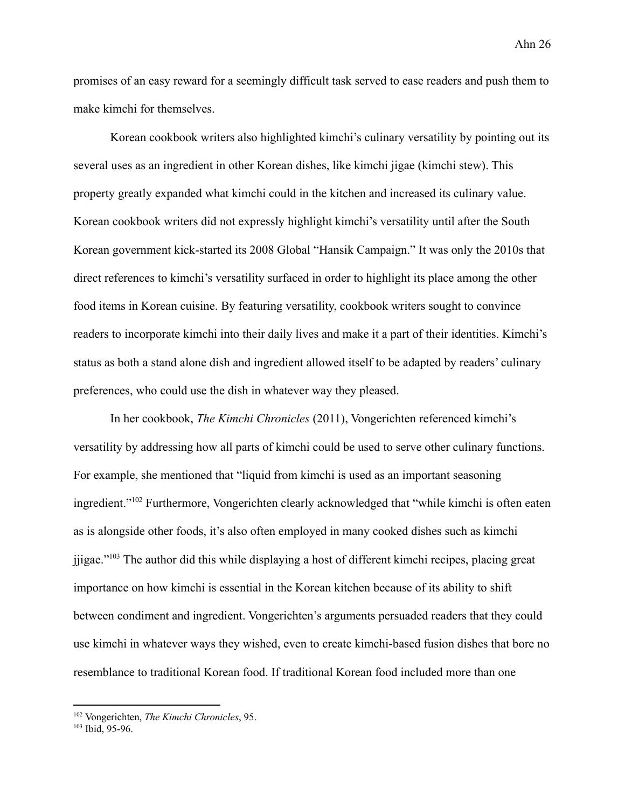promises of an easy reward for a seemingly difficult task served to ease readers and push them to make kimchi for themselves.

Korean cookbook writers also highlighted kimchi's culinary versatility by pointing out its several uses as an ingredient in other Korean dishes, like kimchi jigae (kimchi stew). This property greatly expanded what kimchi could in the kitchen and increased its culinary value. Korean cookbook writers did not expressly highlight kimchi's versatility until after the South Korean government kick-started its 2008 Global "Hansik Campaign." It was only the 2010s that direct references to kimchi's versatility surfaced in order to highlight its place among the other food items in Korean cuisine. By featuring versatility, cookbook writers sought to convince readers to incorporate kimchi into their daily lives and make it a part of their identities. Kimchi's status as both a stand alone dish and ingredient allowed itself to be adapted by readers' culinary preferences, who could use the dish in whatever way they pleased.

In her cookbook, *The Kimchi Chronicles* (2011), Vongerichten referenced kimchi's versatility by addressing how all parts of kimchi could be used to serve other culinary functions. For example, she mentioned that "liquid from kimchi is used as an important seasoning ingredient."<sup>102</sup> Furthermore, Vongerichten clearly acknowledged that "while kimchi is often eaten as is alongside other foods, it's also often employed in many cooked dishes such as kimchi jjigae."<sup>103</sup> The author did this while displaying a host of different kimchi recipes, placing great importance on how kimchi is essential in the Korean kitchen because of its ability to shift between condiment and ingredient. Vongerichten's arguments persuaded readers that they could use kimchi in whatever ways they wished, even to create kimchi-based fusion dishes that bore no resemblance to traditional Korean food. If traditional Korean food included more than one

<sup>102</sup> Vongerichten, *The Kimchi Chronicles*, 95.

 $103$  Ibid, 95-96.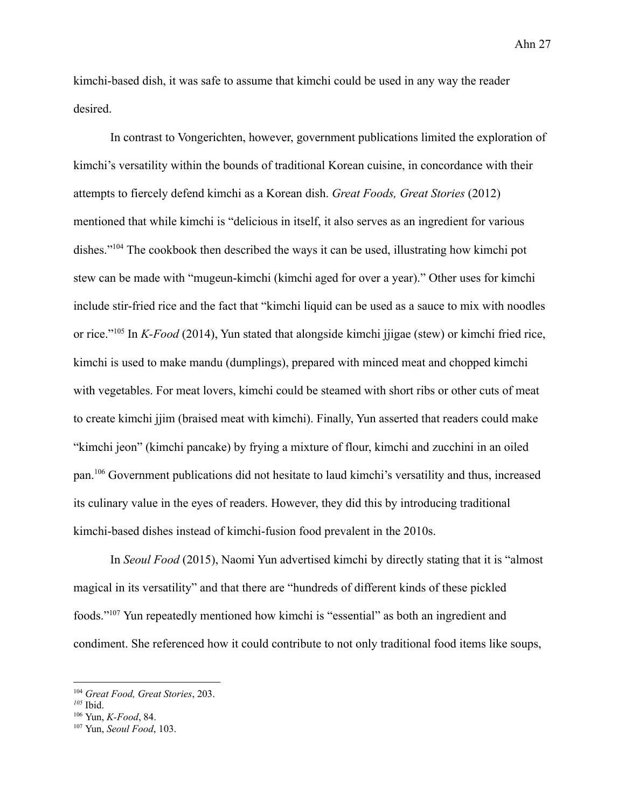kimchi-based dish, it was safe to assume that kimchi could be used in any way the reader desired.

In contrast to Vongerichten, however, government publications limited the exploration of kimchi's versatility within the bounds of traditional Korean cuisine, in concordance with their attempts to fiercely defend kimchi as a Korean dish. *Great Foods, Great Stories* (2012) mentioned that while kimchi is "delicious in itself, it also serves as an ingredient for various dishes."<sup>104</sup> The cookbook then described the ways it can be used, illustrating how kimchi pot stew can be made with "mugeun-kimchi (kimchi aged for over a year)." Other uses for kimchi include stir-fried rice and the fact that "kimchi liquid can be used as a sauce to mix with noodles or rice."<sup>105</sup> In *K-Food* (2014), Yun stated that alongside kimchi jjigae (stew) or kimchi fried rice, kimchi is used to make mandu (dumplings), prepared with minced meat and chopped kimchi with vegetables. For meat lovers, kimchi could be steamed with short ribs or other cuts of meat to create kimchi jjim (braised meat with kimchi). Finally, Yun asserted that readers could make "kimchi jeon" (kimchi pancake) by frying a mixture of flour, kimchi and zucchini in an oiled pan.<sup>106</sup> Government publications did not hesitate to laud kimchi's versatility and thus, increased its culinary value in the eyes of readers. However, they did this by introducing traditional kimchi-based dishes instead of kimchi-fusion food prevalent in the 2010s.

In *Seoul Food* (2015), Naomi Yun advertised kimchi by directly stating that it is "almost magical in its versatility" and that there are "hundreds of different kinds of these pickled foods."<sup>107</sup> Yun repeatedly mentioned how kimchi is "essential" as both an ingredient and condiment. She referenced how it could contribute to not only traditional food items like soups,

<sup>104</sup> *Great Food, Great Stories*, 203.

*<sup>105</sup>* Ibid.

<sup>106</sup> Yun, *K-Food*, 84.

<sup>107</sup> Yun, *Seoul Food*, 103.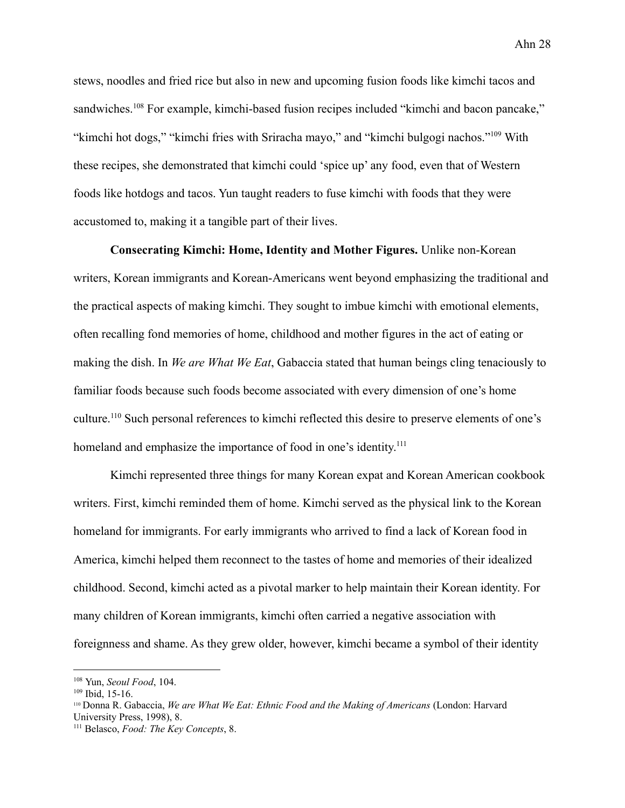stews, noodles and fried rice but also in new and upcoming fusion foods like kimchi tacos and sandwiches.<sup>108</sup> For example, kimchi-based fusion recipes included "kimchi and bacon pancake," "kimchi hot dogs," "kimchi fries with Sriracha mayo," and "kimchi bulgogi nachos."<sup>109</sup> With these recipes, she demonstrated that kimchi could 'spice up' any food, even that of Western foods like hotdogs and tacos. Yun taught readers to fuse kimchi with foods that they were accustomed to, making it a tangible part of their lives.

**Consecrating Kimchi: Home, Identity and Mother Figures.** Unlike non-Korean writers, Korean immigrants and Korean-Americans went beyond emphasizing the traditional and the practical aspects of making kimchi. They sought to imbue kimchi with emotional elements, often recalling fond memories of home, childhood and mother figures in the act of eating or making the dish. In *We are What We Eat*, Gabaccia stated that human beings cling tenaciously to familiar foods because such foods become associated with every dimension of one's home culture.<sup>110</sup> Such personal references to kimchi reflected this desire to preserve elements of one's homeland and emphasize the importance of food in one's identity.<sup>111</sup>

Kimchi represented three things for many Korean expat and Korean American cookbook writers. First, kimchi reminded them of home. Kimchi served as the physical link to the Korean homeland for immigrants. For early immigrants who arrived to find a lack of Korean food in America, kimchi helped them reconnect to the tastes of home and memories of their idealized childhood. Second, kimchi acted as a pivotal marker to help maintain their Korean identity. For many children of Korean immigrants, kimchi often carried a negative association with foreignness and shame. As they grew older, however, kimchi became a symbol of their identity

<sup>108</sup> Yun, *Seoul Food*, 104.

 $109$  Ibid, 15-16.

<sup>110</sup> Donna R. Gabaccia, *We are What We Eat: Ethnic Food and the Making of Americans* (London: Harvard University Press, 1998), 8.

<sup>111</sup> Belasco, *Food: The Key Concepts*, 8.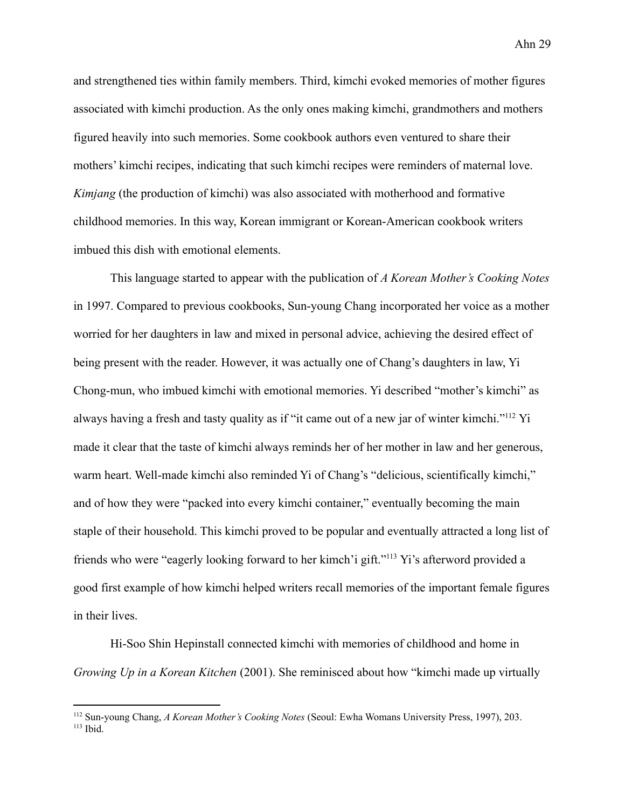and strengthened ties within family members. Third, kimchi evoked memories of mother figures associated with kimchi production. As the only ones making kimchi, grandmothers and mothers figured heavily into such memories. Some cookbook authors even ventured to share their mothers' kimchi recipes, indicating that such kimchi recipes were reminders of maternal love. *Kimjang* (the production of kimchi) was also associated with motherhood and formative childhood memories. In this way, Korean immigrant or Korean-American cookbook writers imbued this dish with emotional elements.

This language started to appear with the publication of *A Korean Mother's Cooking Notes* in 1997. Compared to previous cookbooks, Sun-young Chang incorporated her voice as a mother worried for her daughters in law and mixed in personal advice, achieving the desired effect of being present with the reader. However, it was actually one of Chang's daughters in law, Yi Chong-mun, who imbued kimchi with emotional memories. Yi described "mother's kimchi" as always having a fresh and tasty quality as if "it came out of a new jar of winter kimchi."<sup>112</sup> Yi made it clear that the taste of kimchi always reminds her of her mother in law and her generous, warm heart. Well-made kimchi also reminded Yi of Chang's "delicious, scientifically kimchi," and of how they were "packed into every kimchi container," eventually becoming the main staple of their household. This kimchi proved to be popular and eventually attracted a long list of friends who were "eagerly looking forward to her kimch'i gift."<sup>113</sup> Yi's afterword provided a good first example of how kimchi helped writers recall memories of the important female figures in their lives.

Hi-Soo Shin Hepinstall connected kimchi with memories of childhood and home in *Growing Up in a Korean Kitchen* (2001). She reminisced about how "kimchi made up virtually

 $113$  Ibid. <sup>112</sup> Sun-young Chang, *A Korean Mother's Cooking Notes* (Seoul: Ewha Womans University Press, 1997), 203.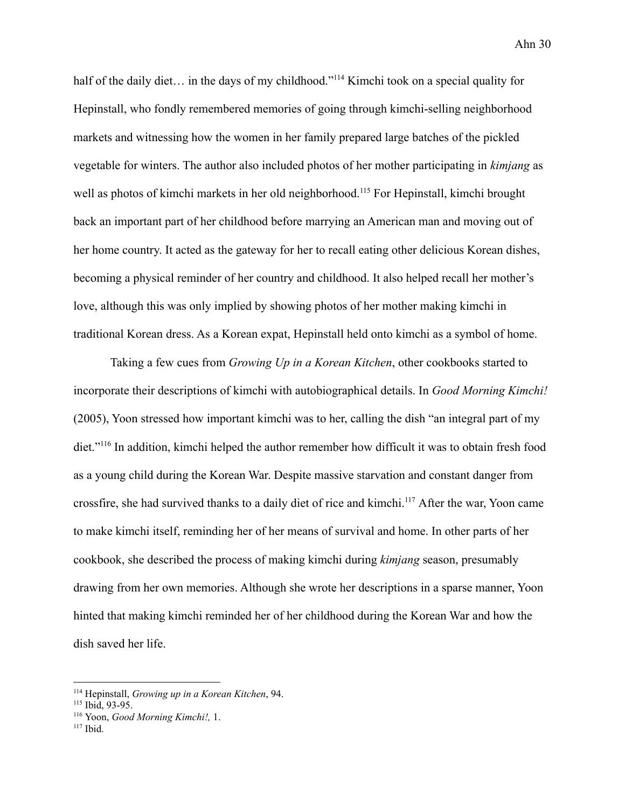half of the daily diet... in the days of my childhood."<sup>114</sup> Kimchi took on a special quality for Hepinstall, who fondly remembered memories of going through kimchi-selling neighborhood markets and witnessing how the women in her family prepared large batches of the pickled vegetable for winters. The author also included photos of her mother participating in *kimjang* as well as photos of kimchi markets in her old neighborhood.<sup>115</sup> For Hepinstall, kimchi brought back an important part of her childhood before marrying an American man and moving out of her home country. It acted as the gateway for her to recall eating other delicious Korean dishes, becoming a physical reminder of her country and childhood. It also helped recall her mother's love, although this was only implied by showing photos of her mother making kimchi in traditional Korean dress. As a Korean expat, Hepinstall held onto kimchi as a symbol of home.

Taking a few cues from *Growing Up in a Korean Kitchen*, other cookbooks started to incorporate their descriptions of kimchi with autobiographical details. In *Good Morning Kimchi!* (2005), Yoon stressed how important kimchi was to her, calling the dish "an integral part of my diet."<sup>116</sup> In addition, kimchi helped the author remember how difficult it was to obtain fresh food as a young child during the Korean War. Despite massive starvation and constant danger from crossfire, she had survived thanks to a daily diet of rice and kimchi.<sup>117</sup> After the war, Yoon came to make kimchi itself, reminding her of her means of survival and home. In other parts of her cookbook, she described the process of making kimchi during *kimjang* season, presumably drawing from her own memories. Although she wrote her descriptions in a sparse manner, Yoon hinted that making kimchi reminded her of her childhood during the Korean War and how the dish saved her life.

<sup>114</sup> Hepinstall, *Growing up in a Korean Kitchen*, 94.

<sup>115</sup> Ibid, 93-95.

<sup>116</sup> Yoon, *Good Morning Kimchi!,* 1.

 $117$  Ibid.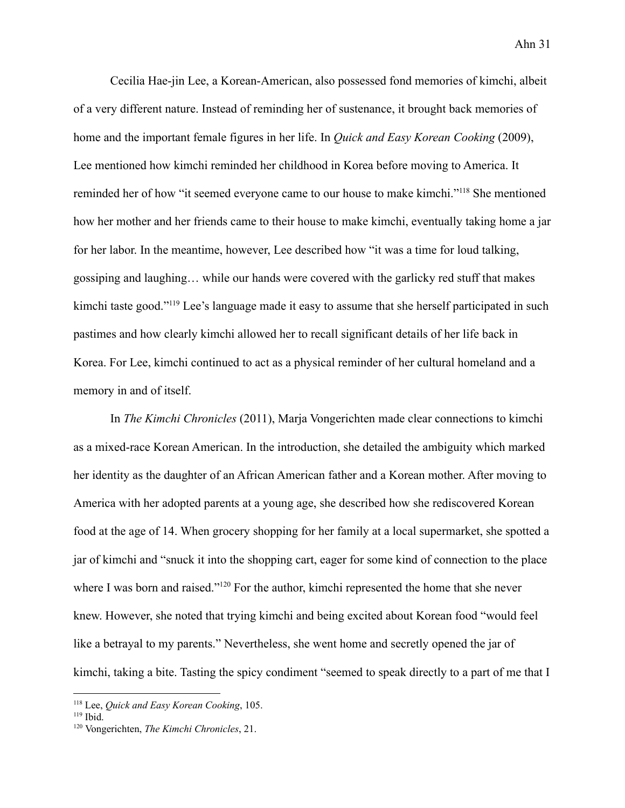Cecilia Hae-jin Lee, a Korean-American, also possessed fond memories of kimchi, albeit of a very different nature. Instead of reminding her of sustenance, it brought back memories of home and the important female figures in her life. In *Quick and Easy Korean Cooking* (2009), Lee mentioned how kimchi reminded her childhood in Korea before moving to America. It reminded her of how "it seemed everyone came to our house to make kimchi."<sup>118</sup> She mentioned how her mother and her friends came to their house to make kimchi, eventually taking home a jar for her labor. In the meantime, however, Lee described how "it was a time for loud talking, gossiping and laughing… while our hands were covered with the garlicky red stuff that makes kimchi taste good."<sup>119</sup> Lee's language made it easy to assume that she herself participated in such pastimes and how clearly kimchi allowed her to recall significant details of her life back in Korea. For Lee, kimchi continued to act as a physical reminder of her cultural homeland and a memory in and of itself.

In *The Kimchi Chronicles* (2011), Marja Vongerichten made clear connections to kimchi as a mixed-race Korean American. In the introduction, she detailed the ambiguity which marked her identity as the daughter of an African American father and a Korean mother. After moving to America with her adopted parents at a young age, she described how she rediscovered Korean food at the age of 14. When grocery shopping for her family at a local supermarket, she spotted a jar of kimchi and "snuck it into the shopping cart, eager for some kind of connection to the place where I was born and raised."<sup>120</sup> For the author, kimchi represented the home that she never knew. However, she noted that trying kimchi and being excited about Korean food "would feel like a betrayal to my parents." Nevertheless, she went home and secretly opened the jar of kimchi, taking a bite. Tasting the spicy condiment "seemed to speak directly to a part of me that I

<sup>118</sup> Lee, *Quick and Easy Korean Cooking*, 105.

 $119$  Ibid.

<sup>120</sup> Vongerichten, *The Kimchi Chronicles*, 21.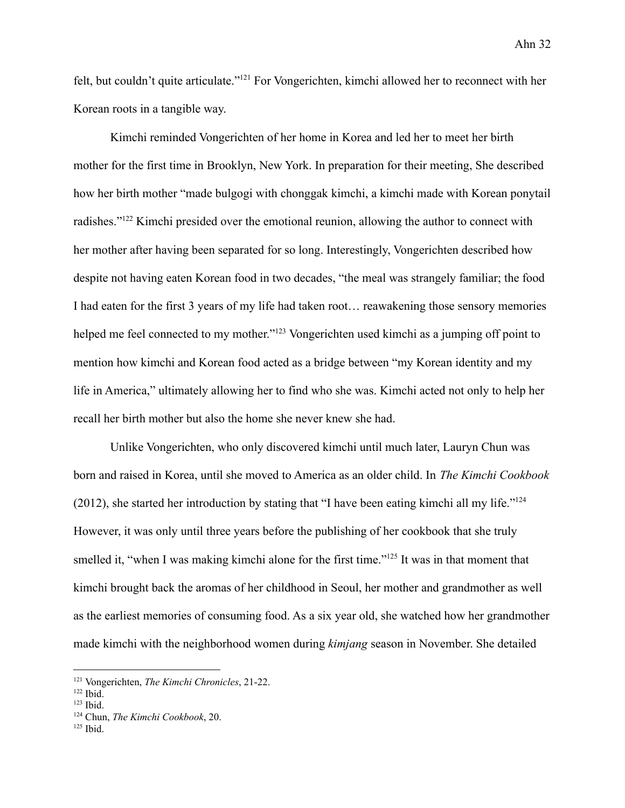felt, but couldn't quite articulate."<sup>121</sup> For Vongerichten, kimchi allowed her to reconnect with her Korean roots in a tangible way.

Kimchi reminded Vongerichten of her home in Korea and led her to meet her birth mother for the first time in Brooklyn, New York. In preparation for their meeting, She described how her birth mother "made bulgogi with chonggak kimchi, a kimchi made with Korean ponytail radishes."<sup>122</sup> Kimchi presided over the emotional reunion, allowing the author to connect with her mother after having been separated for so long. Interestingly, Vongerichten described how despite not having eaten Korean food in two decades, "the meal was strangely familiar; the food I had eaten for the first 3 years of my life had taken root… reawakening those sensory memories helped me feel connected to my mother."<sup>123</sup> Vongerichten used kimchi as a jumping off point to mention how kimchi and Korean food acted as a bridge between "my Korean identity and my life in America," ultimately allowing her to find who she was. Kimchi acted not only to help her recall her birth mother but also the home she never knew she had.

Unlike Vongerichten, who only discovered kimchi until much later, Lauryn Chun was born and raised in Korea, until she moved to America as an older child. In *The Kimchi Cookbook* (2012), she started her introduction by stating that "I have been eating kimchi all my life."<sup>124</sup> However, it was only until three years before the publishing of her cookbook that she truly smelled it, "when I was making kimchi alone for the first time."<sup>125</sup> It was in that moment that kimchi brought back the aromas of her childhood in Seoul, her mother and grandmother as well as the earliest memories of consuming food. As a six year old, she watched how her grandmother made kimchi with the neighborhood women during *kimjang* season in November. She detailed

<sup>121</sup> Vongerichten, *The Kimchi Chronicles*, 21-22.

 $122$  Ibid.

<sup>123</sup> Ibid.

<sup>124</sup> Chun, *The Kimchi Cookbook*, 20.

 $125$  Ibid.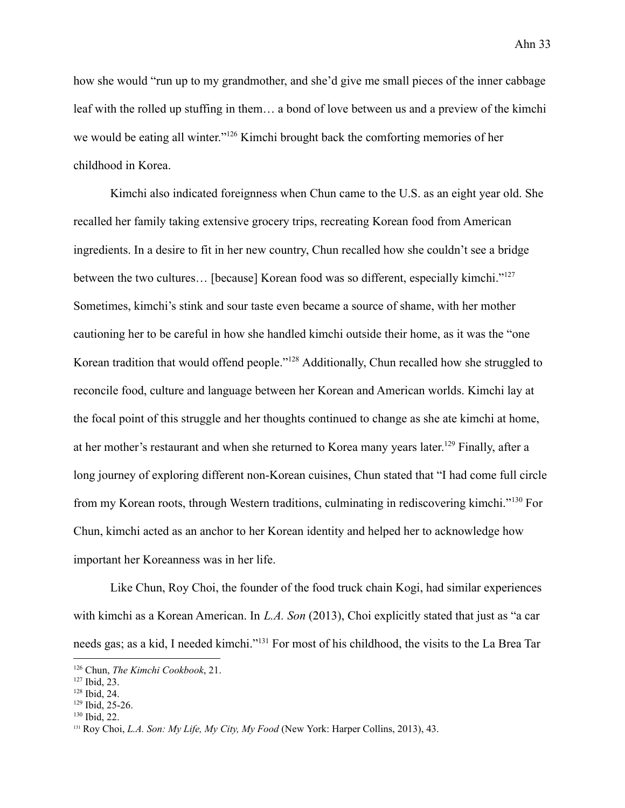how she would "run up to my grandmother, and she'd give me small pieces of the inner cabbage leaf with the rolled up stuffing in them… a bond of love between us and a preview of the kimchi we would be eating all winter."<sup>126</sup> Kimchi brought back the comforting memories of her childhood in Korea.

Kimchi also indicated foreignness when Chun came to the U.S. as an eight year old. She recalled her family taking extensive grocery trips, recreating Korean food from American ingredients. In a desire to fit in her new country, Chun recalled how she couldn't see a bridge between the two cultures... [because] Korean food was so different, especially kimchi."<sup>127</sup> Sometimes, kimchi's stink and sour taste even became a source of shame, with her mother cautioning her to be careful in how she handled kimchi outside their home, as it was the "one Korean tradition that would offend people."<sup>128</sup> Additionally, Chun recalled how she struggled to reconcile food, culture and language between her Korean and American worlds. Kimchi lay at the focal point of this struggle and her thoughts continued to change as she ate kimchi at home, at her mother's restaurant and when she returned to Korea many years later.<sup>129</sup> Finally, after a long journey of exploring different non-Korean cuisines, Chun stated that "I had come full circle from my Korean roots, through Western traditions, culminating in rediscovering kimchi."<sup>130</sup> For Chun, kimchi acted as an anchor to her Korean identity and helped her to acknowledge how important her Koreanness was in her life.

Like Chun, Roy Choi, the founder of the food truck chain Kogi, had similar experiences with kimchi as a Korean American. In *L.A. Son* (2013), Choi explicitly stated that just as "a car needs gas; as a kid, I needed kimchi."<sup>131</sup> For most of his childhood, the visits to the La Brea Tar

<sup>126</sup> Chun, *The Kimchi Cookbook*, 21.

 $127$  Ibid, 23.

<sup>128</sup> Ibid, 24.

<sup>129</sup> Ibid, 25-26.

 $130$  Ibid, 22.

<sup>131</sup> Roy Choi, *L.A. Son: My Life, My City, My Food* (New York: Harper Collins, 2013), 43.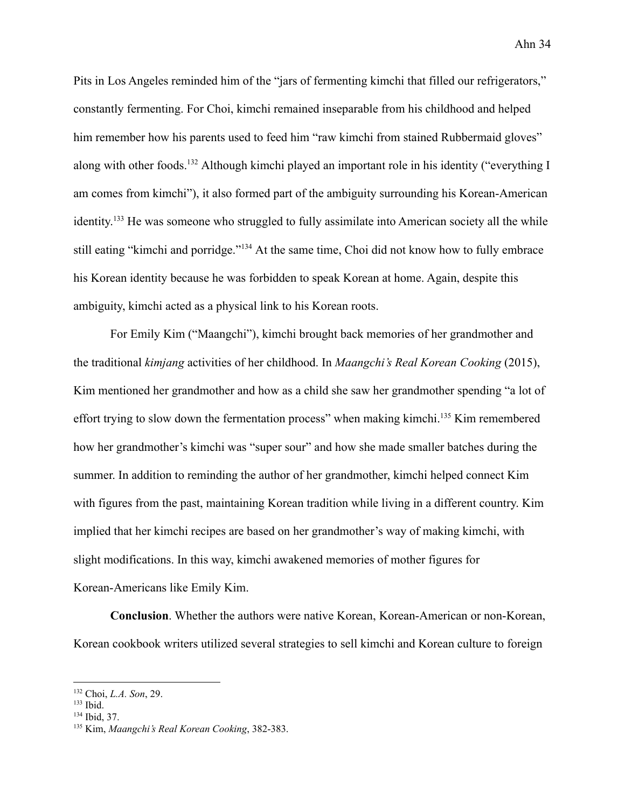Pits in Los Angeles reminded him of the "jars of fermenting kimchi that filled our refrigerators," constantly fermenting. For Choi, kimchi remained inseparable from his childhood and helped him remember how his parents used to feed him "raw kimchi from stained Rubbermaid gloves" along with other foods.<sup>132</sup> Although kimchi played an important role in his identity ("everything I am comes from kimchi"), it also formed part of the ambiguity surrounding his Korean-American identity.<sup>133</sup> He was someone who struggled to fully assimilate into American society all the while still eating "kimchi and porridge."<sup>134</sup> At the same time, Choi did not know how to fully embrace his Korean identity because he was forbidden to speak Korean at home. Again, despite this ambiguity, kimchi acted as a physical link to his Korean roots.

For Emily Kim ("Maangchi"), kimchi brought back memories of her grandmother and the traditional *kimjang* activities of her childhood. In *Maangchi's Real Korean Cooking* (2015), Kim mentioned her grandmother and how as a child she saw her grandmother spending "a lot of effort trying to slow down the fermentation process" when making kimchi.<sup>135</sup> Kim remembered how her grandmother's kimchi was "super sour" and how she made smaller batches during the summer. In addition to reminding the author of her grandmother, kimchi helped connect Kim with figures from the past, maintaining Korean tradition while living in a different country. Kim implied that her kimchi recipes are based on her grandmother's way of making kimchi, with slight modifications. In this way, kimchi awakened memories of mother figures for Korean-Americans like Emily Kim.

**Conclusion**. Whether the authors were native Korean, Korean-American or non-Korean, Korean cookbook writers utilized several strategies to sell kimchi and Korean culture to foreign

<sup>132</sup> Choi, *L.A. Son*, 29.

 $133$  Ibid.

<sup>134</sup> Ibid, 37.

<sup>135</sup> Kim, *Maangchi's Real Korean Cooking*, 382-383.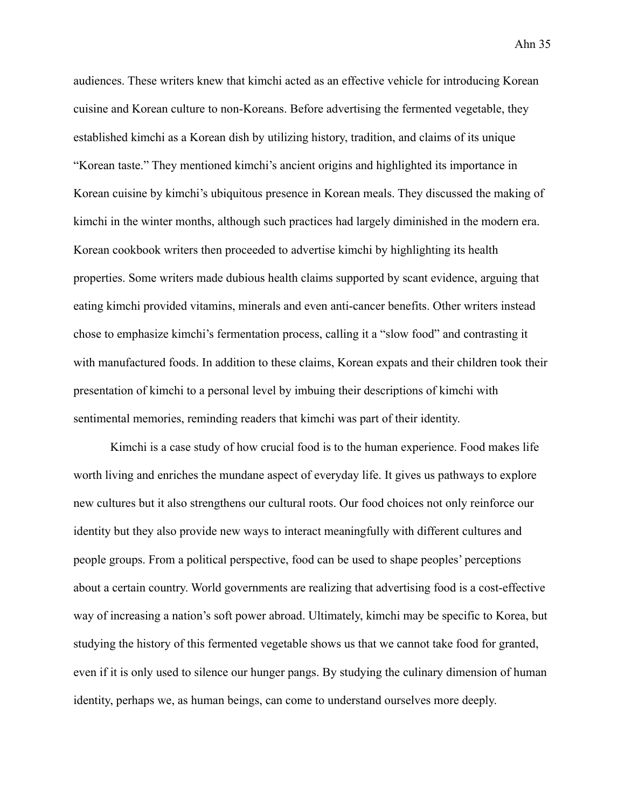audiences. These writers knew that kimchi acted as an effective vehicle for introducing Korean cuisine and Korean culture to non-Koreans. Before advertising the fermented vegetable, they established kimchi as a Korean dish by utilizing history, tradition, and claims of its unique "Korean taste." They mentioned kimchi's ancient origins and highlighted its importance in Korean cuisine by kimchi's ubiquitous presence in Korean meals. They discussed the making of kimchi in the winter months, although such practices had largely diminished in the modern era. Korean cookbook writers then proceeded to advertise kimchi by highlighting its health properties. Some writers made dubious health claims supported by scant evidence, arguing that eating kimchi provided vitamins, minerals and even anti-cancer benefits. Other writers instead chose to emphasize kimchi's fermentation process, calling it a "slow food" and contrasting it with manufactured foods. In addition to these claims, Korean expats and their children took their presentation of kimchi to a personal level by imbuing their descriptions of kimchi with sentimental memories, reminding readers that kimchi was part of their identity.

Kimchi is a case study of how crucial food is to the human experience. Food makes life worth living and enriches the mundane aspect of everyday life. It gives us pathways to explore new cultures but it also strengthens our cultural roots. Our food choices not only reinforce our identity but they also provide new ways to interact meaningfully with different cultures and people groups. From a political perspective, food can be used to shape peoples' perceptions about a certain country. World governments are realizing that advertising food is a cost-effective way of increasing a nation's soft power abroad. Ultimately, kimchi may be specific to Korea, but studying the history of this fermented vegetable shows us that we cannot take food for granted, even if it is only used to silence our hunger pangs. By studying the culinary dimension of human identity, perhaps we, as human beings, can come to understand ourselves more deeply.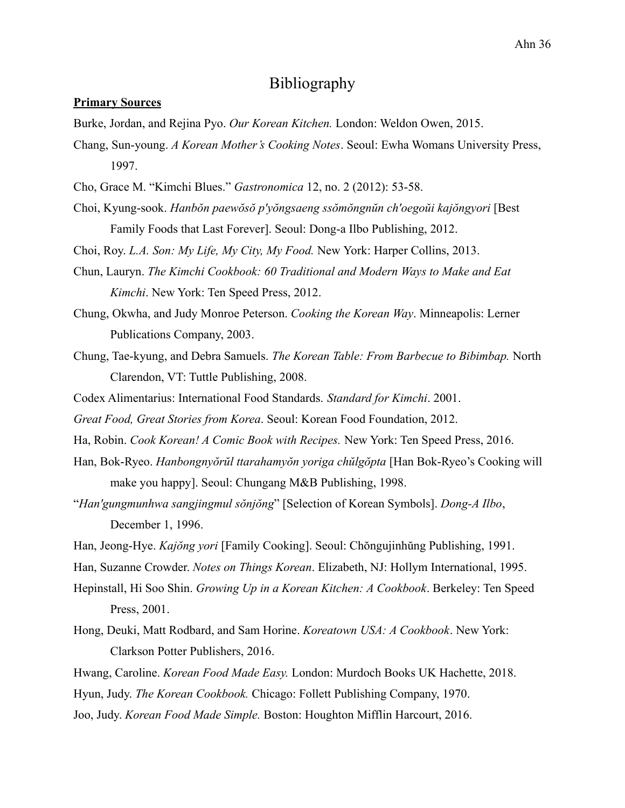# Bibliography

### **Primary Sources**

Burke, Jordan, and Rejina Pyo. *Our Korean Kitchen.* London: Weldon Owen, 2015.

- Chang, Sun-young. *A Korean Mother's Cooking Notes*. Seoul: Ewha Womans University Press, 1997.
- Cho, Grace M. "Kimchi Blues." *Gastronomica* 12, no. 2 (2012): 53-58.
- Choi, Kyung-sook. *Hanbŏn paewŏsŏ p'yŏngsaeng ssŏmŏngnŭn ch'oegoŭi kajŏngyori* [Best Family Foods that Last Forever]. Seoul: Dong-a Ilbo Publishing, 2012.

Choi, Roy. *L.A. Son: My Life, My City, My Food.* New York: Harper Collins, 2013.

- Chun, Lauryn. *The Kimchi Cookbook: 60 Traditional and Modern Ways to Make and Eat Kimchi*. New York: Ten Speed Press, 2012.
- Chung, Okwha, and Judy Monroe Peterson. *Cooking the Korean Way*. Minneapolis: Lerner Publications Company, 2003.
- Chung, Tae-kyung, and Debra Samuels. *The Korean Table: From Barbecue to Bibimbap.* North Clarendon, VT: Tuttle Publishing, 2008.
- Codex Alimentarius: International Food Standards. *Standard for Kimchi*. 2001.
- *Great Food, Great Stories from Korea*. Seoul: Korean Food Foundation, 2012.
- Ha, Robin. *Cook Korean! A Comic Book with Recipes.* New York: Ten Speed Press, 2016.
- Han, Bok-Ryeo. *Hanbongnyŏrŭl ttarahamyŏn yoriga chŭlgŏpta* [Han Bok-Ryeo's Cooking will make you happy]. Seoul: Chungang M&B Publishing, 1998.
- "*Han'gungmunhwa sangjingmul sŏnjŏng*" [Selection of Korean Symbols]. *Dong-A Ilbo*, December 1, 1996.
- Han, Jeong-Hye. *Kajŏng yori* [Family Cooking]. Seoul: Chŏngujinhŭng Publishing, 1991.
- Han, Suzanne Crowder. *Notes on Things Korean*. Elizabeth, NJ: Hollym International, 1995.
- Hepinstall, Hi Soo Shin. *Growing Up in a Korean Kitchen: A Cookbook*. Berkeley: Ten Speed Press, 2001.
- Hong, Deuki, Matt Rodbard, and Sam Horine. *Koreatown USA: A Cookbook*. New York: Clarkson Potter Publishers, 2016.
- Hwang, Caroline. *Korean Food Made Easy.* London: Murdoch Books UK Hachette, 2018.
- Hyun, Judy. *The Korean Cookbook.* Chicago: Follett Publishing Company, 1970.

Joo, Judy. *Korean Food Made Simple.* Boston: Houghton Mifflin Harcourt, 2016.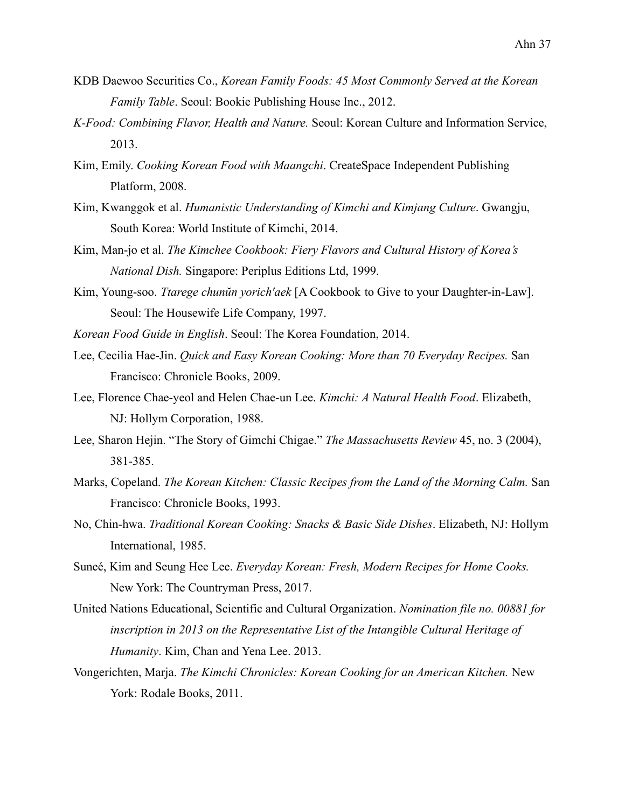- KDB Daewoo Securities Co., *Korean Family Foods: 45 Most Commonly Served at the Korean Family Table*. Seoul: Bookie Publishing House Inc., 2012.
- *K-Food: Combining Flavor, Health and Nature.* Seoul: Korean Culture and Information Service, 2013.
- Kim, Emily. *Cooking Korean Food with Maangchi*. CreateSpace Independent Publishing Platform, 2008.
- Kim, Kwanggok et al. *Humanistic Understanding of Kimchi and Kimjang Culture*. Gwangju, South Korea: World Institute of Kimchi, 2014.
- Kim, Man-jo et al. *The Kimchee Cookbook: Fiery Flavors and Cultural History of Korea's National Dish.* Singapore: Periplus Editions Ltd, 1999.
- Kim, Young-soo. *Ttarege chunŭn yorich'aek* [A Cookbook to Give to your Daughter-in-Law]. Seoul: The Housewife Life Company, 1997.
- *Korean Food Guide in English*. Seoul: The Korea Foundation, 2014.
- Lee, Cecilia Hae-Jin. *Quick and Easy Korean Cooking: More than 70 Everyday Recipes.* San Francisco: Chronicle Books, 2009.
- Lee, Florence Chae-yeol and Helen Chae-un Lee. *Kimchi: A Natural Health Food*. Elizabeth, NJ: Hollym Corporation, 1988.
- Lee, Sharon Hejin. "The Story of Gimchi Chigae." *The Massachusetts Review* 45, no. 3 (2004), 381-385.
- Marks, Copeland. *The Korean Kitchen: Classic Recipes from the Land of the Morning Calm.* San Francisco: Chronicle Books, 1993.
- No, Chin-hwa. *Traditional Korean Cooking: Snacks & Basic Side Dishes*. Elizabeth, NJ: Hollym International, 1985.
- Suneé, Kim and Seung Hee Lee. *Everyday Korean: Fresh, Modern Recipes for Home Cooks.* New York: The Countryman Press, 2017.
- United Nations Educational, Scientific and Cultural Organization. *Nomination file no. 00881 for inscription in 2013 on the Representative List of the Intangible Cultural Heritage of Humanity*. Kim, Chan and Yena Lee. 2013.
- Vongerichten, Marja. *The Kimchi Chronicles: Korean Cooking for an American Kitchen.* New York: Rodale Books, 2011.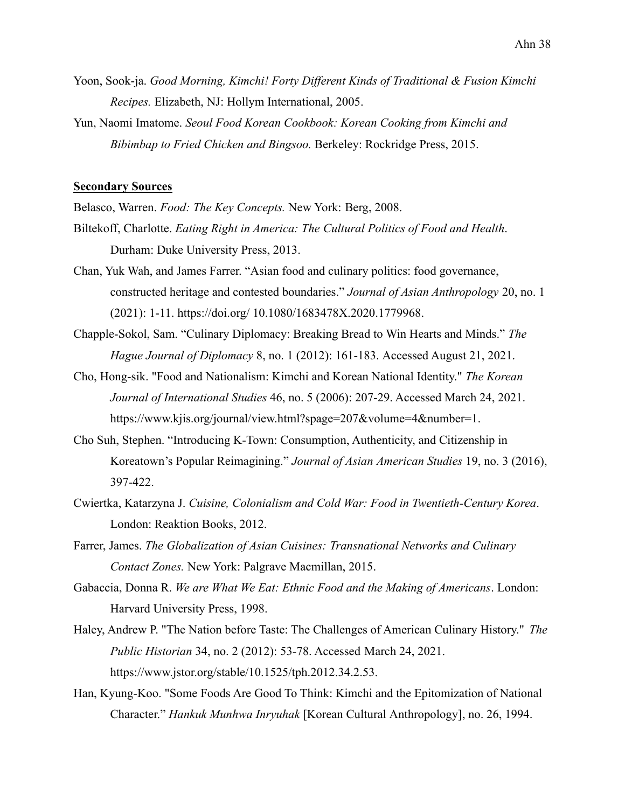- Yoon, Sook-ja. *Good Morning, Kimchi! Forty Different Kinds of Traditional & Fusion Kimchi Recipes.* Elizabeth, NJ: Hollym International, 2005.
- Yun, Naomi Imatome. *Seoul Food Korean Cookbook: Korean Cooking from Kimchi and Bibimbap to Fried Chicken and Bingsoo.* Berkeley: Rockridge Press, 2015.

#### **Secondary Sources**

Belasco, Warren. *Food: The Key Concepts.* New York: Berg, 2008.

- Biltekoff, Charlotte. *Eating Right in America: The Cultural Politics of Food and Health*. Durham: Duke University Press, 2013.
- Chan, Yuk Wah, and James Farrer. "Asian food and culinary politics: food governance, constructed heritage and contested boundaries." *Journal of Asian Anthropology* 20, no. 1 (2021): 1-11. https://doi.org/ 10.1080/1683478X.2020.1779968.
- Chapple-Sokol, Sam. "Culinary Diplomacy: Breaking Bread to Win Hearts and Minds." *The Hague Journal of Diplomacy* 8, no. 1 (2012): 161-183. Accessed August 21, 2021.
- Cho, Hong-sik. "Food and Nationalism: Kimchi and Korean National Identity." *The Korean Journal of International Studies* 46, no. 5 (2006): 207-29. Accessed March 24, 2021. https://www.kjis.org/journal/view.html?spage=207&volume=4&number=1.
- Cho Suh, Stephen. "Introducing K-Town: Consumption, Authenticity, and Citizenship in Koreatown's Popular Reimagining." *Journal of Asian American Studies* 19, no. 3 (2016), 397-422.
- Cwiertka, Katarzyna J. *Cuisine, Colonialism and Cold War: Food in Twentieth-Century Korea*. London: Reaktion Books, 2012.
- Farrer, James. *The Globalization of Asian Cuisines: Transnational Networks and Culinary Contact Zones.* New York: Palgrave Macmillan, 2015.
- Gabaccia, Donna R. *We are What We Eat: Ethnic Food and the Making of Americans*. London: Harvard University Press, 1998.
- Haley, Andrew P. "The Nation before Taste: The Challenges of American Culinary History." *The Public Historian* 34, no. 2 (2012): 53-78. Accessed March 24, 2021. https://www.jstor.org/stable/10.1525/tph.2012.34.2.53.
- Han, Kyung-Koo. "Some Foods Are Good To Think: Kimchi and the Epitomization of National Character." *Hankuk Munhwa Inryuhak* [Korean Cultural Anthropology], no. 26, 1994.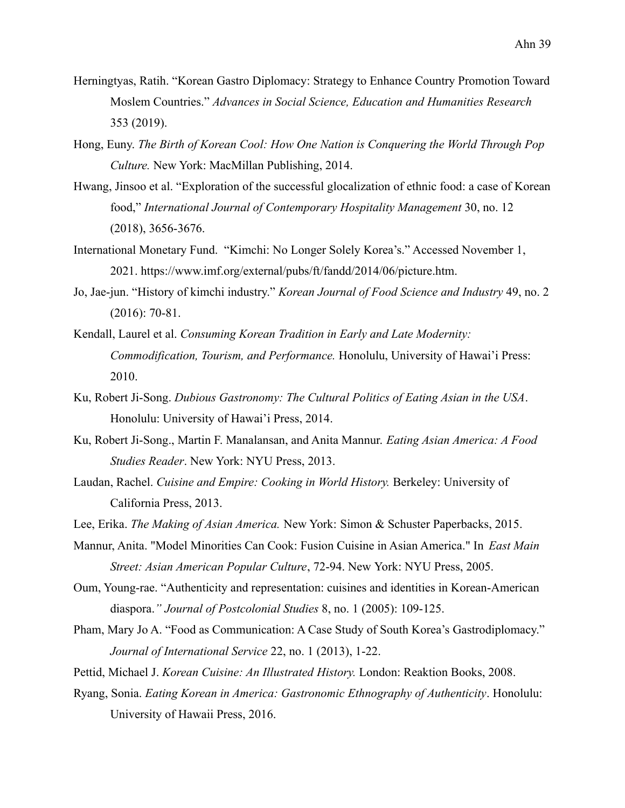- Herningtyas, Ratih. "Korean Gastro Diplomacy: Strategy to Enhance Country Promotion Toward Moslem Countries." *Advances in Social Science, Education and Humanities Research* 353 (2019).
- Hong, Euny. *The Birth of Korean Cool: How One Nation is Conquering the World Through Pop Culture.* New York: MacMillan Publishing, 2014.
- Hwang, Jinsoo et al. "Exploration of the successful glocalization of ethnic food: a case of Korean food," *International Journal of Contemporary Hospitality Management* 30, no. 12 (2018), 3656-3676.
- International Monetary Fund. "Kimchi: No Longer Solely Korea's." Accessed November 1, 2021. https://www.imf.org/external/pubs/ft/fandd/2014/06/picture.htm.
- Jo, Jae-jun. "History of kimchi industry." *Korean Journal of Food Science and Industry* 49, no. 2 (2016): 70-81.
- Kendall, Laurel et al. *Consuming Korean Tradition in Early and Late Modernity: Commodification, Tourism, and Performance.* Honolulu, University of Hawai'i Press: 2010.
- Ku, Robert Ji-Song. *Dubious Gastronomy: The Cultural Politics of Eating Asian in the USA*. Honolulu: University of Hawai'i Press, 2014.
- Ku, Robert Ji-Song., Martin F. Manalansan, and Anita Mannur. *Eating Asian America: A Food Studies Reader*. New York: NYU Press, 2013.
- Laudan, Rachel. *Cuisine and Empire: Cooking in World History.* Berkeley: University of California Press, 2013.
- Lee, Erika. *The Making of Asian America.* New York: Simon & Schuster Paperbacks, 2015.
- Mannur, Anita. "Model Minorities Can Cook: Fusion Cuisine in Asian America." In *East Main Street: Asian American Popular Culture*, 72-94. New York: NYU Press, 2005.
- Oum, Young-rae. "Authenticity and representation: cuisines and identities in Korean-American diaspora.*" Journal of Postcolonial Studies* 8, no. 1 (2005): 109-125.
- Pham, Mary Jo A. "Food as Communication: A Case Study of South Korea's Gastrodiplomacy." *Journal of International Service* 22, no. 1 (2013), 1-22.
- Pettid, Michael J. *Korean Cuisine: An Illustrated History.* London: Reaktion Books, 2008.
- Ryang, Sonia. *Eating Korean in America: Gastronomic Ethnography of Authenticity*. Honolulu: University of Hawaii Press, 2016.